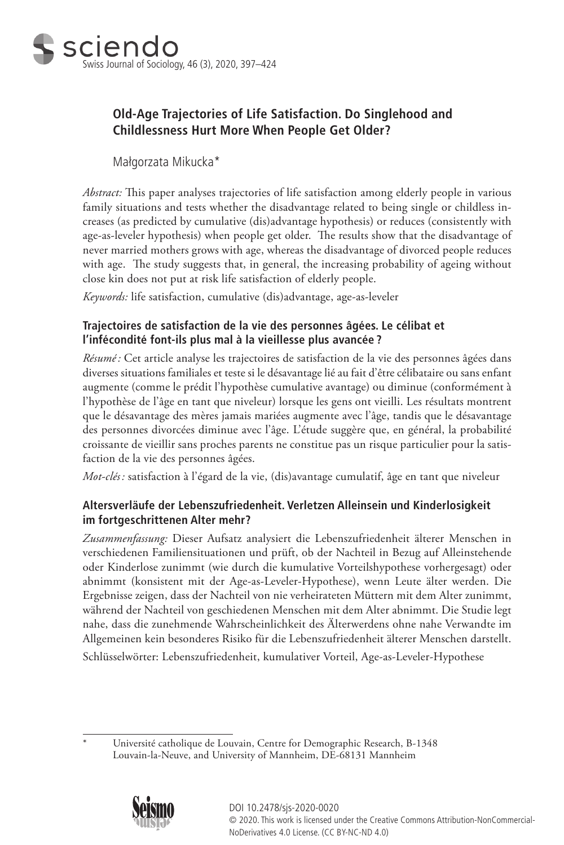

# **Old-Age Trajectories of Life Satisfaction. Do Singlehood and Childlessness Hurt More When People Get Older?**

Małgorzata Mikucka\*

*Abstract:* This paper analyses trajectories of life satisfaction among elderly people in various family situations and tests whether the disadvantage related to being single or childless increases (as predicted by cumulative (dis)advantage hypothesis) or reduces (consistently with age-as-leveler hypothesis) when people get older. The results show that the disadvantage of never married mothers grows with age, whereas the disadvantage of divorced people reduces with age. The study suggests that, in general, the increasing probability of ageing without close kin does not put at risk life satisfaction of elderly people.

*Keywords:* life satisfaction, cumulative (dis)advantage, age-as-leveler

# **Trajectoires de satisfaction de la vie des personnes âgées. Le célibat et l'infécondité font-ils plus mal à la vieillesse plus avancée ?**

*Résumé:* Cet article analyse les trajectoires de satisfaction de la vie des personnes âgées dans diverses situations familiales et teste si le désavantage lié au fait d'être célibataire ou sans enfant augmente (comme le prédit l'hypothèse cumulative avantage) ou diminue (conformément à l'hypothèse de l'âge en tant que niveleur) lorsque les gens ont vieilli. Les résultats montrent que le désavantage des mères jamais mariées augmente avec l'âge, tandis que le désavantage des personnes divorcées diminue avec l'âge. L'étude suggère que, en général, la probabilité croissante de vieillir sans proches parents ne constitue pas un risque particulier pour la satisfaction de la vie des personnes âgées.

*Mot-clés :* satisfaction à l'égard de la vie, (dis)avantage cumulatif, âge en tant que niveleur

# **Altersverläufe der Lebenszufriedenheit. Verletzen Alleinsein und Kinderlosigkeit im fortgeschrittenen Alter mehr?**

*Zusammenfassung:* Dieser Aufsatz analysiert die Lebenszufriedenheit älterer Menschen in verschiedenen Familiensituationen und prüft, ob der Nachteil in Bezug auf Alleinstehende oder Kinderlose zunimmt (wie durch die kumulative Vorteilshypothese vorhergesagt) oder abnimmt (konsistent mit der Age-as-Leveler-Hypothese), wenn Leute älter werden. Die Ergebnisse zeigen, dass der Nachteil von nie verheirateten Müttern mit dem Alter zunimmt, während der Nachteil von geschiedenen Menschen mit dem Alter abnimmt. Die Studie legt nahe, dass die zunehmende Wahrscheinlichkeit des Älterwerdens ohne nahe Verwandte im Allgemeinen kein besonderes Risiko für die Lebenszufriedenheit älterer Menschen darstellt. Schlüsselwörter: Lebenszufriedenheit, kumulativer Vorteil, Age-as-Leveler-Hypothese

\* Université catholique de Louvain, Centre for Demographic Research, B-1348 Louvain-la-Neuve, and University of Mannheim, DE-68131 Mannheim

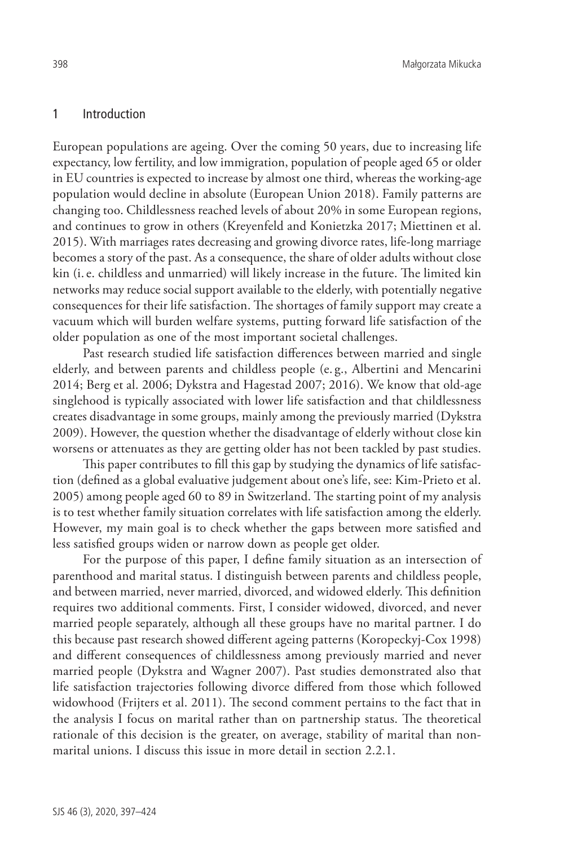#### 1 Introduction

European populations are ageing. Over the coming 50 years, due to increasing life expectancy, low fertility, and low immigration, population of people aged 65 or older in EU countries is expected to increase by almost one third, whereas the working-age population would decline in absolute (European Union 2018). Family patterns are changing too. Childlessness reached levels of about 20% in some European regions, and continues to grow in others (Kreyenfeld and Konietzka 2017; Miettinen et al. 2015). With marriages rates decreasing and growing divorce rates, life-long marriage becomes a story of the past. As a consequence, the share of older adults without close kin (i.e. childless and unmarried) will likely increase in the future. The limited kin networks may reduce social support available to the elderly, with potentially negative consequences for their life satisfaction. The shortages of family support may create a vacuum which will burden welfare systems, putting forward life satisfaction of the older population as one of the most important societal challenges.

Past research studied life satisfaction differences between married and single elderly, and between parents and childless people (e. g., Albertini and Mencarini 2014; Berg et al. 2006; Dykstra and Hagestad 2007; 2016). We know that old-age singlehood is typically associated with lower life satisfaction and that childlessness creates disadvantage in some groups, mainly among the previously married (Dykstra 2009). However, the question whether the disadvantage of elderly without close kin worsens or attenuates as they are getting older has not been tackled by past studies.

This paper contributes to fill this gap by studying the dynamics of life satisfaction (defined as a global evaluative judgement about one's life, see: Kim-Prieto et al. 2005) among people aged 60 to 89 in Switzerland. The starting point of my analysis is to test whether family situation correlates with life satisfaction among the elderly. However, my main goal is to check whether the gaps between more satisfied and less satisfied groups widen or narrow down as people get older.

For the purpose of this paper, I define family situation as an intersection of parenthood and marital status. I distinguish between parents and childless people, and between married, never married, divorced, and widowed elderly. This definition requires two additional comments. First, I consider widowed, divorced, and never married people separately, although all these groups have no marital partner. I do this because past research showed different ageing patterns (Koropeckyj-Cox 1998) and different consequences of childlessness among previously married and never married people (Dykstra and Wagner 2007). Past studies demonstrated also that life satisfaction trajectories following divorce differed from those which followed widowhood (Frijters et al. 2011). The second comment pertains to the fact that in the analysis I focus on marital rather than on partnership status. The theoretical rationale of this decision is the greater, on average, stability of marital than nonmarital unions. I discuss this issue in more detail in section 2.2.1.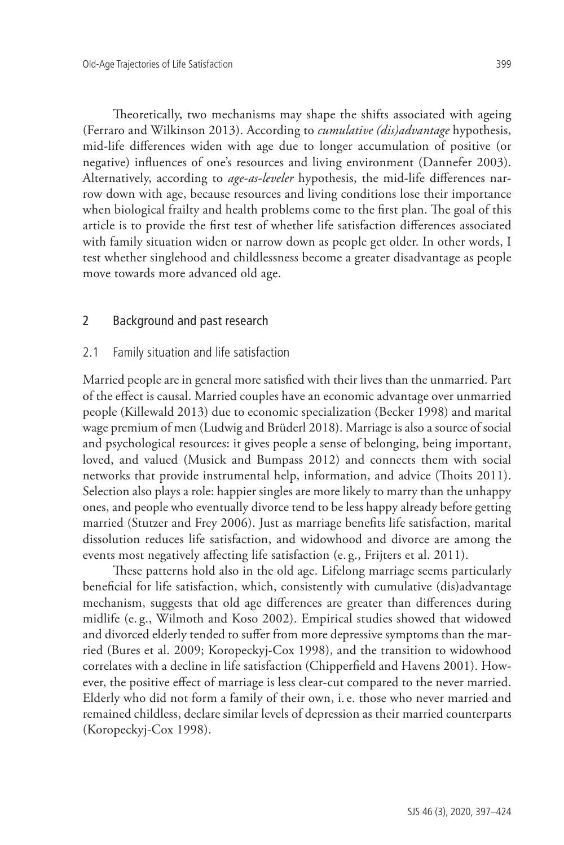Theoretically, two mechanisms may shape the shifts associated with ageing (Ferraro and Wilkinson 2013). According to *cumulative (dis)advantage* hypothesis, mid-life differences widen with age due to longer accumulation of positive (or negative) influences of one's resources and living environment (Dannefer 2003). Alternatively, according to *age-as-leveler* hypothesis, the mid-life differences narrow down with age, because resources and living conditions lose their importance when biological frailty and health problems come to the first plan. The goal of this article is to provide the first test of whether life satisfaction differences associated with family situation widen or narrow down as people get older. In other words, I test whether singlehood and childlessness become a greater disadvantage as people move towards more advanced old age.

## 2 Background and past research

#### 2.1 Family situation and life satisfaction

Married people are in general more satisfied with their lives than the unmarried. Part of the effect is causal. Married couples have an economic advantage over unmarried people (Killewald 2013) due to economic specialization (Becker 1998) and marital wage premium of men (Ludwig and Brüderl 2018). Marriage is also a source of social and psychological resources: it gives people a sense of belonging, being important, loved, and valued (Musick and Bumpass 2012) and connects them with social networks that provide instrumental help, information, and advice (Thoits 2011). Selection also plays a role: happier singles are more likely to marry than the unhappy ones, and people who eventually divorce tend to be less happy already before getting married (Stutzer and Frey 2006). Just as marriage benefits life satisfaction, marital dissolution reduces life satisfaction, and widowhood and divorce are among the events most negatively affecting life satisfaction (e. g., Frijters et al. 2011).

These patterns hold also in the old age. Lifelong marriage seems particularly beneficial for life satisfaction, which, consistently with cumulative (dis)advantage mechanism, suggests that old age differences are greater than differences during midlife (e. g., Wilmoth and Koso 2002). Empirical studies showed that widowed and divorced elderly tended to suffer from more depressive symptoms than the married (Bures et al. 2009; Koropeckyj-Cox 1998), and the transition to widowhood correlates with a decline in life satisfaction (Chipperfield and Havens 2001). However, the positive effect of marriage is less clear-cut compared to the never married. Elderly who did not form a family of their own, i.e. those who never married and remained childless, declare similar levels of depression as their married counterparts (Koropeckyj-Cox 1998).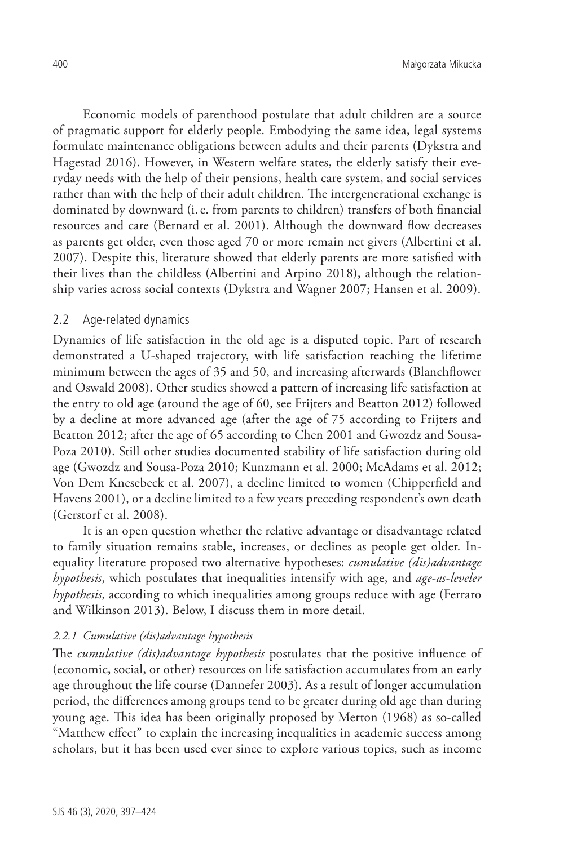Economic models of parenthood postulate that adult children are a source of pragmatic support for elderly people. Embodying the same idea, legal systems formulate maintenance obligations between adults and their parents (Dykstra and Hagestad 2016). However, in Western welfare states, the elderly satisfy their everyday needs with the help of their pensions, health care system, and social services rather than with the help of their adult children. The intergenerational exchange is dominated by downward (i.e. from parents to children) transfers of both financial resources and care (Bernard et al. 2001). Although the downward flow decreases as parents get older, even those aged 70 or more remain net givers (Albertini et al. 2007). Despite this, literature showed that elderly parents are more satisfied with their lives than the childless (Albertini and Arpino 2018), although the relationship varies across social contexts (Dykstra and Wagner 2007; Hansen et al. 2009).

## 2.2 Age-related dynamics

Dynamics of life satisfaction in the old age is a disputed topic. Part of research demonstrated a U-shaped trajectory, with life satisfaction reaching the lifetime minimum between the ages of 35 and 50, and increasing afterwards (Blanchflower and Oswald 2008). Other studies showed a pattern of increasing life satisfaction at the entry to old age (around the age of 60, see Frijters and Beatton 2012) followed by a decline at more advanced age (after the age of 75 according to Frijters and Beatton 2012; after the age of 65 according to Chen 2001 and Gwozdz and Sousa-Poza 2010). Still other studies documented stability of life satisfaction during old age (Gwozdz and Sousa-Poza 2010; Kunzmann et al. 2000; McAdams et al. 2012; Von Dem Knesebeck et al. 2007), a decline limited to women (Chipperfield and Havens 2001), or a decline limited to a few years preceding respondent's own death (Gerstorf et al. 2008).

It is an open question whether the relative advantage or disadvantage related to family situation remains stable, increases, or declines as people get older. Inequality literature proposed two alternative hypotheses: *cumulative (dis)advantage hypothesis*, which postulates that inequalities intensify with age, and *age-as-leveler hypothesis*, according to which inequalities among groups reduce with age (Ferraro and Wilkinson 2013). Below, I discuss them in more detail.

#### *2.2.1 Cumulative (dis)advantage hypothesis*

The *cumulative (dis)advantage hypothesis* postulates that the positive influence of (economic, social, or other) resources on life satisfaction accumulates from an early age throughout the life course (Dannefer 2003). As a result of longer accumulation period, the differences among groups tend to be greater during old age than during young age. This idea has been originally proposed by Merton (1968) as so-called "Matthew effect" to explain the increasing inequalities in academic success among scholars, but it has been used ever since to explore various topics, such as income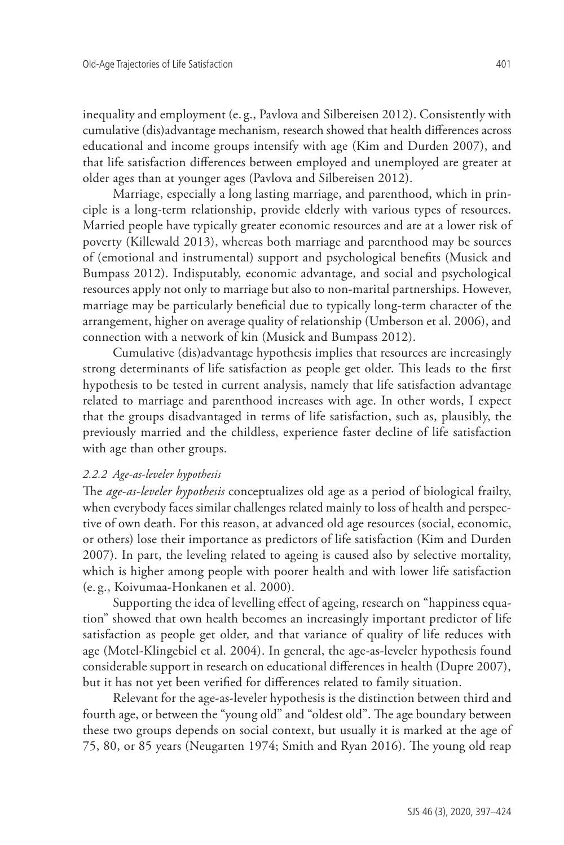inequality and employment (e. g., Pavlova and Silbereisen 2012). Consistently with cumulative (dis)advantage mechanism, research showed that health differences across educational and income groups intensify with age (Kim and Durden 2007), and that life satisfaction differences between employed and unemployed are greater at older ages than at younger ages (Pavlova and Silbereisen 2012).

Marriage, especially a long lasting marriage, and parenthood, which in principle is a long-term relationship, provide elderly with various types of resources. Married people have typically greater economic resources and are at a lower risk of poverty (Killewald 2013), whereas both marriage and parenthood may be sources of (emotional and instrumental) support and psychological benefits (Musick and Bumpass 2012). Indisputably, economic advantage, and social and psychological resources apply not only to marriage but also to non-marital partnerships. However, marriage may be particularly beneficial due to typically long-term character of the arrangement, higher on average quality of relationship (Umberson et al. 2006), and connection with a network of kin (Musick and Bumpass 2012).

Cumulative (dis)advantage hypothesis implies that resources are increasingly strong determinants of life satisfaction as people get older. This leads to the first hypothesis to be tested in current analysis, namely that life satisfaction advantage related to marriage and parenthood increases with age. In other words, I expect that the groups disadvantaged in terms of life satisfaction, such as, plausibly, the previously married and the childless, experience faster decline of life satisfaction with age than other groups.

#### *2.2.2 Age-as-leveler hypothesis*

The *age-as-leveler hypothesis* conceptualizes old age as a period of biological frailty, when everybody faces similar challenges related mainly to loss of health and perspective of own death. For this reason, at advanced old age resources (social, economic, or others) lose their importance as predictors of life satisfaction (Kim and Durden 2007). In part, the leveling related to ageing is caused also by selective mortality, which is higher among people with poorer health and with lower life satisfaction (e. g., Koivumaa-Honkanen et al. 2000).

Supporting the idea of levelling effect of ageing, research on "happiness equation" showed that own health becomes an increasingly important predictor of life satisfaction as people get older, and that variance of quality of life reduces with age (Motel-Klingebiel et al. 2004). In general, the age-as-leveler hypothesis found considerable support in research on educational differences in health (Dupre 2007), but it has not yet been verified for differences related to family situation.

Relevant for the age-as-leveler hypothesis is the distinction between third and fourth age, or between the "young old" and "oldest old". The age boundary between these two groups depends on social context, but usually it is marked at the age of 75, 80, or 85 years (Neugarten 1974; Smith and Ryan 2016). The young old reap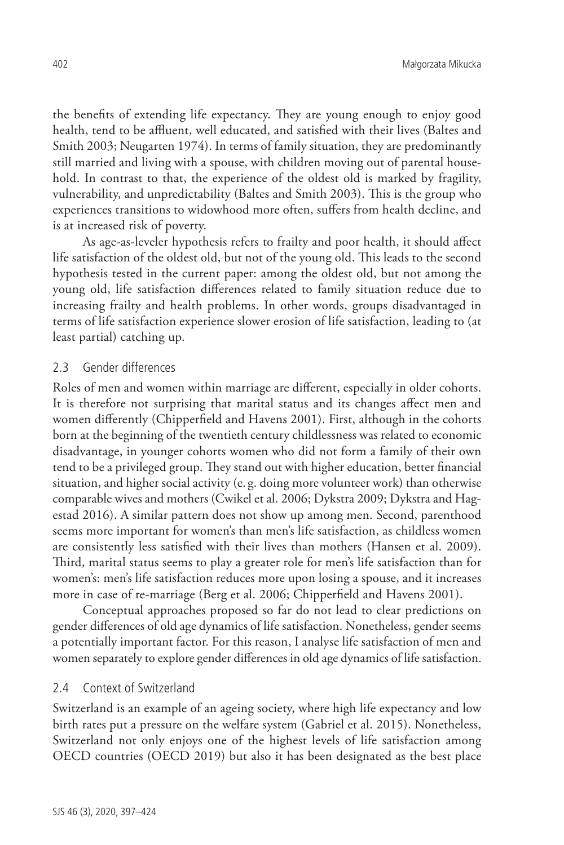the benefits of extending life expectancy. They are young enough to enjoy good health, tend to be affluent, well educated, and satisfied with their lives (Baltes and Smith 2003; Neugarten 1974). In terms of family situation, they are predominantly still married and living with a spouse, with children moving out of parental household. In contrast to that, the experience of the oldest old is marked by fragility, vulnerability, and unpredictability (Baltes and Smith 2003). This is the group who experiences transitions to widowhood more often, suffers from health decline, and is at increased risk of poverty.

As age-as-leveler hypothesis refers to frailty and poor health, it should affect life satisfaction of the oldest old, but not of the young old. This leads to the second hypothesis tested in the current paper: among the oldest old, but not among the young old, life satisfaction differences related to family situation reduce due to increasing frailty and health problems. In other words, groups disadvantaged in terms of life satisfaction experience slower erosion of life satisfaction, leading to (at least partial) catching up.

#### 2.3 Gender differences

Roles of men and women within marriage are different, especially in older cohorts. It is therefore not surprising that marital status and its changes affect men and women differently (Chipperfield and Havens 2001). First, although in the cohorts born at the beginning of the twentieth century childlessness was related to economic disadvantage, in younger cohorts women who did not form a family of their own tend to be a privileged group. They stand out with higher education, better financial situation, and higher social activity (e. g. doing more volunteer work) than otherwise comparable wives and mothers (Cwikel et al. 2006; Dykstra 2009; Dykstra and Hagestad 2016). A similar pattern does not show up among men. Second, parenthood seems more important for women's than men's life satisfaction, as childless women are consistently less satisfied with their lives than mothers (Hansen et al. 2009). Third, marital status seems to play a greater role for men's life satisfaction than for women's: men's life satisfaction reduces more upon losing a spouse, and it increases more in case of re-marriage (Berg et al. 2006; Chipperfield and Havens 2001).

Conceptual approaches proposed so far do not lead to clear predictions on gender differences of old age dynamics of life satisfaction. Nonetheless, gender seems a potentially important factor. For this reason, I analyse life satisfaction of men and women separately to explore gender differences in old age dynamics of life satisfaction.

## 2.4 Context of Switzerland

Switzerland is an example of an ageing society, where high life expectancy and low birth rates put a pressure on the welfare system (Gabriel et al. 2015). Nonetheless, Switzerland not only enjoys one of the highest levels of life satisfaction among OECD countries (OECD 2019) but also it has been designated as the best place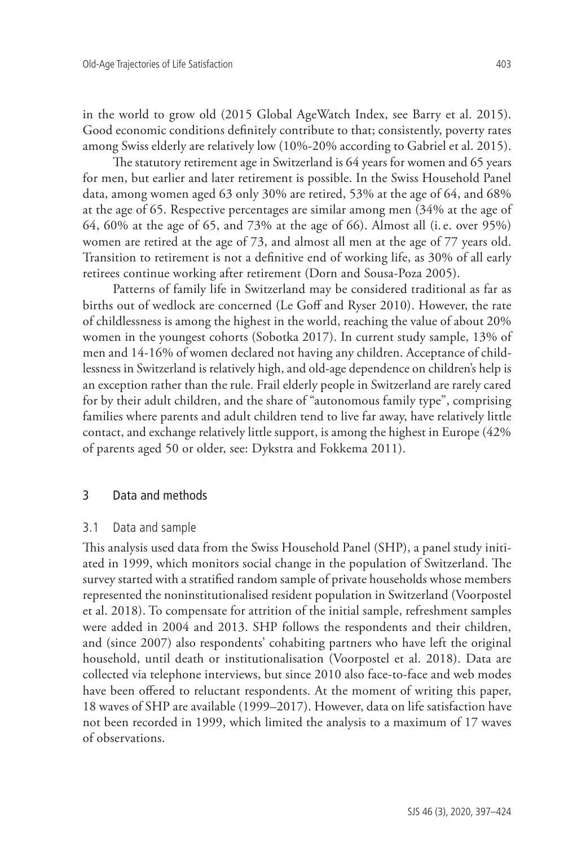in the world to grow old (2015 Global AgeWatch Index, see Barry et al. 2015). Good economic conditions definitely contribute to that; consistently, poverty rates among Swiss elderly are relatively low (10%-20% according to Gabriel et al. 2015).

The statutory retirement age in Switzerland is 64 years for women and 65 years for men, but earlier and later retirement is possible. In the Swiss Household Panel data, among women aged 63 only 30% are retired, 53% at the age of 64, and 68% at the age of 65. Respective percentages are similar among men (34% at the age of 64, 60% at the age of 65, and 73% at the age of 66). Almost all (i.e. over 95%) women are retired at the age of 73, and almost all men at the age of 77 years old. Transition to retirement is not a definitive end of working life, as 30% of all early retirees continue working after retirement (Dorn and Sousa-Poza 2005).

Patterns of family life in Switzerland may be considered traditional as far as births out of wedlock are concerned (Le Goff and Ryser 2010). However, the rate of childlessness is among the highest in the world, reaching the value of about 20% women in the youngest cohorts (Sobotka 2017). In current study sample, 13% of men and 14-16% of women declared not having any children. Acceptance of childlessness in Switzerland is relatively high, and old-age dependence on children's help is an exception rather than the rule. Frail elderly people in Switzerland are rarely cared for by their adult children, and the share of "autonomous family type", comprising families where parents and adult children tend to live far away, have relatively little contact, and exchange relatively little support, is among the highest in Europe (42% of parents aged 50 or older, see: Dykstra and Fokkema 2011).

## 3 Data and methods

#### 3.1 Data and sample

This analysis used data from the Swiss Household Panel (SHP), a panel study initiated in 1999, which monitors social change in the population of Switzerland. The survey started with a stratified random sample of private households whose members represented the noninstitutionalised resident population in Switzerland (Voorpostel et al. 2018). To compensate for attrition of the initial sample, refreshment samples were added in 2004 and 2013. SHP follows the respondents and their children, and (since 2007) also respondents' cohabiting partners who have left the original household, until death or institutionalisation (Voorpostel et al. 2018). Data are collected via telephone interviews, but since 2010 also face-to-face and web modes have been offered to reluctant respondents. At the moment of writing this paper, 18 waves of SHP are available (1999–2017). However, data on life satisfaction have not been recorded in 1999, which limited the analysis to a maximum of 17 waves of observations.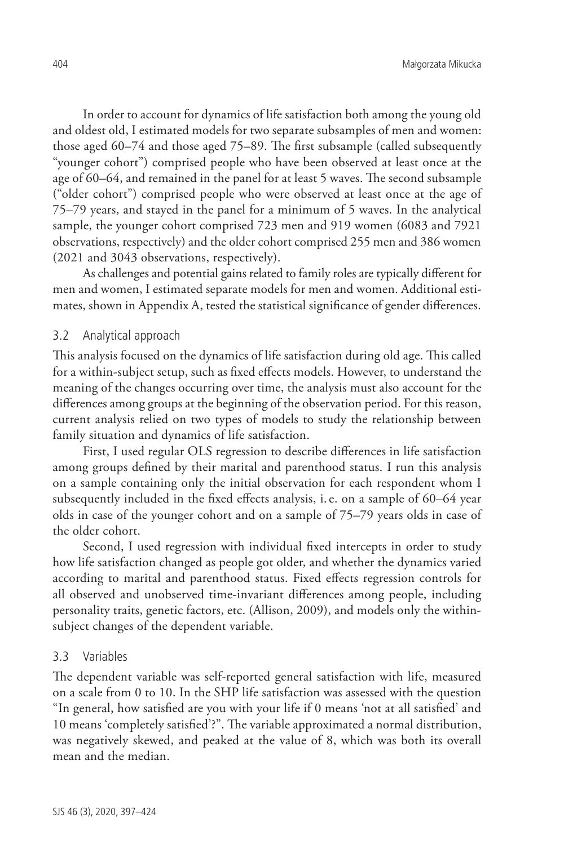In order to account for dynamics of life satisfaction both among the young old and oldest old, I estimated models for two separate subsamples of men and women: those aged 60–74 and those aged 75–89. The first subsample (called subsequently "younger cohort") comprised people who have been observed at least once at the age of 60–64, and remained in the panel for at least 5 waves. The second subsample ("older cohort") comprised people who were observed at least once at the age of 75–79 years, and stayed in the panel for a minimum of 5 waves. In the analytical sample, the younger cohort comprised 723 men and 919 women (6083 and 7921 observations, respectively) and the older cohort comprised 255 men and 386 women (2021 and 3043 observations, respectively).

As challenges and potential gains related to family roles are typically different for men and women, I estimated separate models for men and women. Additional estimates, shown in Appendix A, tested the statistical significance of gender differences.

#### 3.2 Analytical approach

This analysis focused on the dynamics of life satisfaction during old age. This called for a within-subject setup, such as fixed effects models. However, to understand the meaning of the changes occurring over time, the analysis must also account for the differences among groups at the beginning of the observation period. For this reason, current analysis relied on two types of models to study the relationship between family situation and dynamics of life satisfaction.

First, I used regular OLS regression to describe differences in life satisfaction among groups defined by their marital and parenthood status. I run this analysis on a sample containing only the initial observation for each respondent whom I subsequently included in the fixed effects analysis, i.e. on a sample of 60–64 year olds in case of the younger cohort and on a sample of 75–79 years olds in case of the older cohort.

Second, I used regression with individual fixed intercepts in order to study how life satisfaction changed as people got older, and whether the dynamics varied according to marital and parenthood status. Fixed effects regression controls for all observed and unobserved time-invariant differences among people, including personality traits, genetic factors, etc. (Allison, 2009), and models only the withinsubject changes of the dependent variable.

#### 3.3 Variables

The dependent variable was self-reported general satisfaction with life, measured on a scale from 0 to 10. In the SHP life satisfaction was assessed with the question "In general, how satisfied are you with your life if 0 means 'not at all satisfied' and 10 means 'completely satisfied'?". The variable approximated a normal distribution, was negatively skewed, and peaked at the value of 8, which was both its overall mean and the median.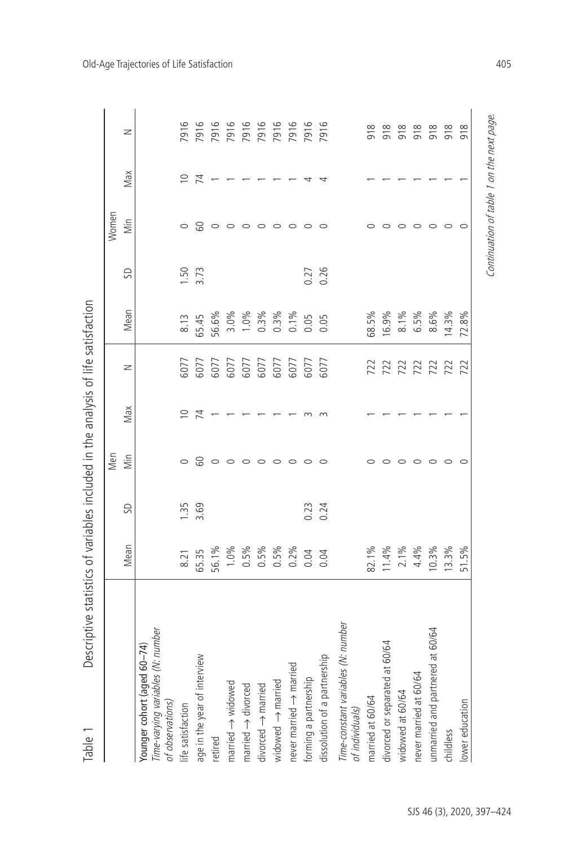| Descriptive statistics of variables included in the analysis of life satisfaction<br>Table |         |      |         |             |      |         |      |       |             |      |
|--------------------------------------------------------------------------------------------|---------|------|---------|-------------|------|---------|------|-------|-------------|------|
|                                                                                            |         |      | Men     |             |      |         |      | Women |             |      |
|                                                                                            | Mean    | SD   | iim     | Max         | z    | Mean    | S    | ilin  | Max         | z    |
| Time-varying variables (N: number<br>Younger cohort (aged 60-74)<br>of observations)       |         |      |         |             |      |         |      |       |             |      |
| life satisfaction                                                                          | 8.21    | 1.35 | $\circ$ | $\supseteq$ | 6077 | 8.13    | 1.50 |       | $\subseteq$ | 7916 |
| age in the year of interview                                                               | 65.35   | 3.69 | 8       | 74          | 6077 | 65.45   | 3.73 | 8     | 74          | 7916 |
| retired                                                                                    | 56.1%   |      |         |             | 6077 | 56.6%   |      |       |             | 7916 |
| married $\rightarrow$ widowed                                                              | 1.0%    |      |         |             | 6077 | 3.0%    |      |       |             | 7916 |
| married $\rightarrow$ divorced                                                             | $0.5\%$ |      |         |             | 6077 | 1.0%    |      |       |             | 7916 |
| $divored \rightarrow material$                                                             | 0.5%    |      |         |             | 6077 | $0.3\%$ |      |       |             | 7916 |
| widowed $\rightarrow$ married                                                              | 0.5%    |      | 0       |             | 6077 | 0.3%    |      |       |             | 7916 |
| never married $\rightarrow$ married                                                        | $0.2\%$ |      | $\circ$ |             | 6077 | $0.1\%$ |      |       |             | 7916 |
| forming a partnership                                                                      | 0.04    | 0.23 | $\circ$ |             | 6077 | 0.05    | 0.27 |       |             | 7916 |
| dissolution of a partnership                                                               | 0.04    | 0.24 | $\circ$ |             | 6077 | 0.05    | 0.26 |       |             | 7916 |
| Time-constant variables (N: number<br>of individuals)                                      |         |      |         |             |      |         |      |       |             |      |
| married at 60/64                                                                           | 82.1%   |      |         |             | 722  | 68.5%   |      |       |             | 918  |
| divorced or separated at 60/64                                                             | 11.4%   |      |         |             | 722  | 16.9%   |      |       |             | 918  |
| widowed at 60/64                                                                           | 2.1%    |      |         |             | 722  | 8.1%    |      |       |             | 918  |
| never married at 60/64                                                                     | 4.4%    |      |         |             | 722  | 6.5%    |      |       |             | 918  |
| unmarried and partnered at 60/64                                                           | 10.3%   |      |         |             | 722  | 8.6%    |      |       |             | 918  |
| childless                                                                                  | 13.3%   |      |         |             | 722  | 14.3%   |      |       |             | 918  |
| lower education                                                                            | 51.5%   |      |         |             | 722  | 72.8%   |      |       |             | 918  |
|                                                                                            |         |      |         |             |      |         |      |       |             |      |

Continuation of table 1 on the next page.

Continuation of table 1 on the next page.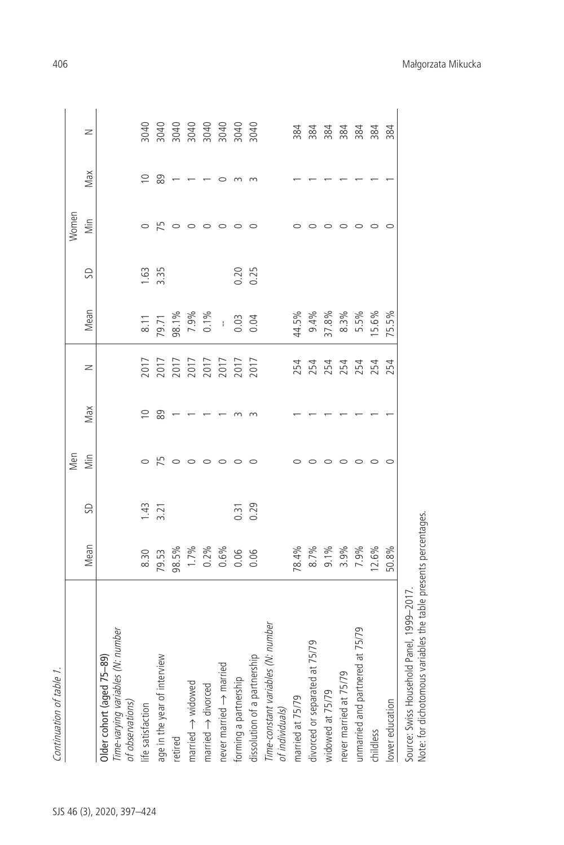|                                                                                          |                                |                   | Men     |     |                                              |                                             |                  | Women   |     |  |
|------------------------------------------------------------------------------------------|--------------------------------|-------------------|---------|-----|----------------------------------------------|---------------------------------------------|------------------|---------|-----|--|
|                                                                                          | Mean                           | S                 | Min     | Max | z                                            | Mean                                        | SD               | İm      | Max |  |
| Older cohort (aged 75-89)                                                                |                                |                   |         |     |                                              |                                             |                  |         |     |  |
| iables (N: number<br><i>Time-varying varia<br/>of observations)</i><br>life satisfaction |                                |                   |         |     |                                              |                                             |                  |         |     |  |
|                                                                                          | 8.30                           | 1.43              |         | ≘   |                                              |                                             | 1.63             |         | ≘   |  |
| age in the year of interview                                                             | 79.53                          | 3.21              | 52      | 89  |                                              | $\frac{8.11}{79.71}$                        | 3.35             | 52      | 89  |  |
| retired                                                                                  | 98.5%                          |                   | $\circ$ |     |                                              |                                             |                  |         |     |  |
| $m$ arried $\rightarrow$ widowed                                                         |                                |                   | $\circ$ |     | 7017<br>2017<br>2017<br>2017<br>2017<br>2017 | 98.1%<br>7.9%<br>0.1%                       |                  |         |     |  |
| $m$ arried $\rightarrow$ divorced                                                        | $1.7%$<br>0.2%<br>0.06<br>0.06 |                   | $\circ$ |     |                                              |                                             |                  | $\circ$ |     |  |
| never married $\rightarrow$ married                                                      |                                |                   | ○       |     |                                              |                                             |                  | $\circ$ |     |  |
| forming a partnership                                                                    |                                | $0.\overline{3}1$ | $\circ$ |     |                                              | $\begin{array}{c} 1.63 \\ 0.03 \end{array}$ |                  | $\circ$ |     |  |
| partnership<br>dissolution of a                                                          |                                | 0.29              | $\circ$ |     |                                              |                                             | $0.20$<br>$0.25$ |         |     |  |
| Time-constant variables (N: number<br>of individuals)                                    |                                |                   |         |     |                                              |                                             |                  |         |     |  |
| married at 75/79                                                                         | 78.4%                          |                   |         |     | 254                                          | 44.5%                                       |                  |         |     |  |
| divorced or separated at 75/79                                                           | 8.7%                           |                   |         |     | 254                                          | 9.4%                                        |                  |         |     |  |
| widowed at 75/79                                                                         | 9.1%                           |                   |         |     | 254                                          | 37.8%                                       |                  |         |     |  |
| 75/79<br>never married at                                                                | 3.9%                           |                   |         |     | 254                                          | 8.3%                                        |                  |         |     |  |
| unmarried and partnered at 75/79                                                         | 7.9%                           |                   |         |     | 254                                          | 5.5%                                        |                  |         |     |  |
| childless                                                                                | 12.6%                          |                   | $\circ$ |     | 254                                          | 15.6%                                       |                  | $\circ$ |     |  |
| lower education                                                                          | 50.8%                          |                   |         |     | 254                                          | 75.5%                                       |                  |         |     |  |

Continuation of table 1.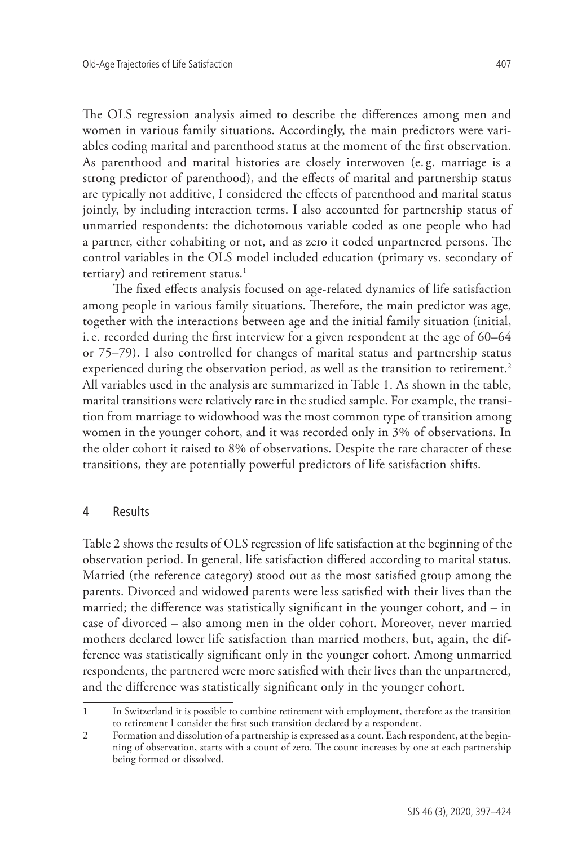The OLS regression analysis aimed to describe the differences among men and women in various family situations. Accordingly, the main predictors were variables coding marital and parenthood status at the moment of the first observation. As parenthood and marital histories are closely interwoven (e. g. marriage is a strong predictor of parenthood), and the effects of marital and partnership status are typically not additive, I considered the effects of parenthood and marital status jointly, by including interaction terms. I also accounted for partnership status of unmarried respondents: the dichotomous variable coded as one people who had a partner, either cohabiting or not, and as zero it coded unpartnered persons. The control variables in the OLS model included education (primary vs. secondary of tertiary) and retirement status.<sup>1</sup>

The fixed effects analysis focused on age-related dynamics of life satisfaction among people in various family situations. Therefore, the main predictor was age, together with the interactions between age and the initial family situation (initial, i.e. recorded during the first interview for a given respondent at the age of 60–64 or 75–79). I also controlled for changes of marital status and partnership status experienced during the observation period, as well as the transition to retirement.<sup>2</sup> All variables used in the analysis are summarized in Table 1. As shown in the table, marital transitions were relatively rare in the studied sample. For example, the transition from marriage to widowhood was the most common type of transition among women in the younger cohort, and it was recorded only in 3% of observations. In the older cohort it raised to 8% of observations. Despite the rare character of these transitions, they are potentially powerful predictors of life satisfaction shifts.

## 4 Results

Table 2 shows the results of OLS regression of life satisfaction at the beginning of the observation period. In general, life satisfaction differed according to marital status. Married (the reference category) stood out as the most satisfied group among the parents. Divorced and widowed parents were less satisfied with their lives than the married; the difference was statistically significant in the younger cohort, and – in case of divorced – also among men in the older cohort. Moreover, never married mothers declared lower life satisfaction than married mothers, but, again, the difference was statistically significant only in the younger cohort. Among unmarried respondents, the partnered were more satisfied with their lives than the unpartnered, and the difference was statistically significant only in the younger cohort.

<sup>1</sup> In Switzerland it is possible to combine retirement with employment, therefore as the transition to retirement I consider the first such transition declared by a respondent.

<sup>2</sup> Formation and dissolution of a partnership is expressed as a count. Each respondent, at the beginning of observation, starts with a count of zero. The count increases by one at each partnership being formed or dissolved.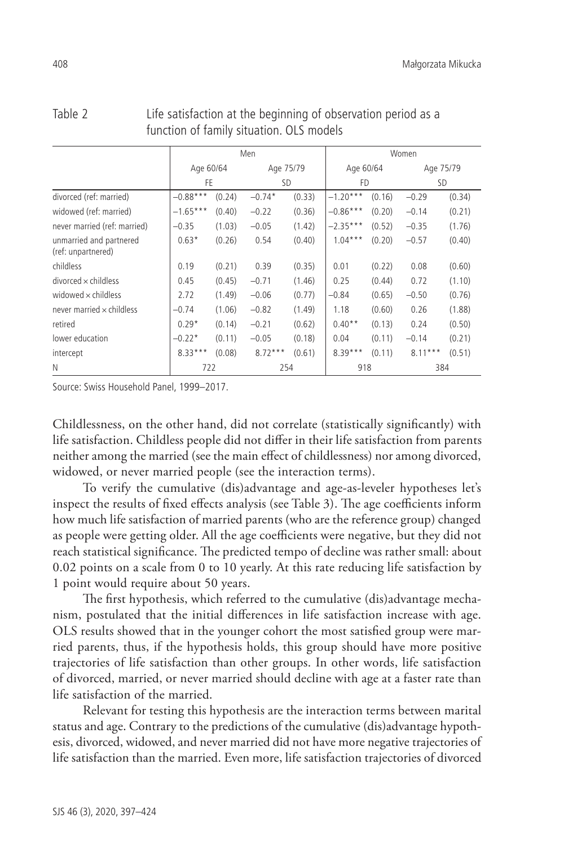|                                               |            |        | Men       |        |            |        | Women     |        |
|-----------------------------------------------|------------|--------|-----------|--------|------------|--------|-----------|--------|
|                                               | Age 60/64  |        | Age 75/79 |        | Age 60/64  |        | Age 75/79 |        |
|                                               | FF.        |        | SD.       |        | FD.        |        | <b>SD</b> |        |
| divorced (ref: married)                       | $-0.88***$ | (0.24) | $-0.74*$  | (0.33) | $-1.20***$ | (0.16) | $-0.29$   | (0.34) |
| widowed (ref: married)                        | $-1.65***$ | (0.40) | $-0.22$   | (0.36) | $-0.86***$ | (0.20) | $-0.14$   | (0.21) |
| never married (ref: married)                  | $-0.35$    | (1.03) | $-0.05$   | (1.42) | $-2.35***$ | (0.52) | $-0.35$   | (1.76) |
| unmarried and partnered<br>(ref: unpartnered) | $0.63*$    | (0.26) | 0.54      | (0.40) | $1.04***$  | (0.20) | $-0.57$   | (0.40) |
| childless                                     | 0.19       | (0.21) | 0.39      | (0.35) | 0.01       | (0.22) | 0.08      | (0.60) |
| $divorced \times childless$                   | 0.45       | (0.45) | $-0.71$   | (1.46) | 0.25       | (0.44) | 0.72      | (1.10) |
| widowed $\times$ childless                    | 2.72       | (1.49) | $-0.06$   | (0.77) | $-0.84$    | (0.65) | $-0.50$   | (0.76) |
| never married $\times$ childless              | $-0.74$    | (1.06) | $-0.82$   | (1.49) | 1.18       | (0.60) | 0.26      | (1.88) |
| retired                                       | $0.29*$    | (0.14) | $-0.21$   | (0.62) | $0.40**$   | (0.13) | 0.24      | (0.50) |
| lower education                               | $-0.22*$   | (0.11) | $-0.05$   | (0.18) | 0.04       | (0.11) | $-0.14$   | (0.21) |
| intercept                                     | $8.33***$  | (0.08) | $8.72***$ | (0.61) | $8.39***$  | (0.11) | $8.11***$ | (0.51) |
| N                                             | 722        |        | 254       |        | 918        |        | 384       |        |

| Table 2 | Life satisfaction at the beginning of observation period as a |
|---------|---------------------------------------------------------------|
|         | function of family situation. OLS models                      |

Source: Swiss Household Panel, 1999–2017.

Childlessness, on the other hand, did not correlate (statistically significantly) with life satisfaction. Childless people did not differ in their life satisfaction from parents neither among the married (see the main effect of childlessness) nor among divorced, widowed, or never married people (see the interaction terms).

To verify the cumulative (dis)advantage and age-as-leveler hypotheses let's inspect the results of fixed effects analysis (see Table 3). The age coefficients inform how much life satisfaction of married parents (who are the reference group) changed as people were getting older. All the age coefficients were negative, but they did not reach statistical significance. The predicted tempo of decline was rather small: about 0.02 points on a scale from 0 to 10 yearly. At this rate reducing life satisfaction by 1 point would require about 50 years.

The first hypothesis, which referred to the cumulative (dis)advantage mechanism, postulated that the initial differences in life satisfaction increase with age. OLS results showed that in the younger cohort the most satisfied group were married parents, thus, if the hypothesis holds, this group should have more positive trajectories of life satisfaction than other groups. In other words, life satisfaction of divorced, married, or never married should decline with age at a faster rate than life satisfaction of the married.

Relevant for testing this hypothesis are the interaction terms between marital status and age. Contrary to the predictions of the cumulative (dis)advantage hypothesis, divorced, widowed, and never married did not have more negative trajectories of life satisfaction than the married. Even more, life satisfaction trajectories of divorced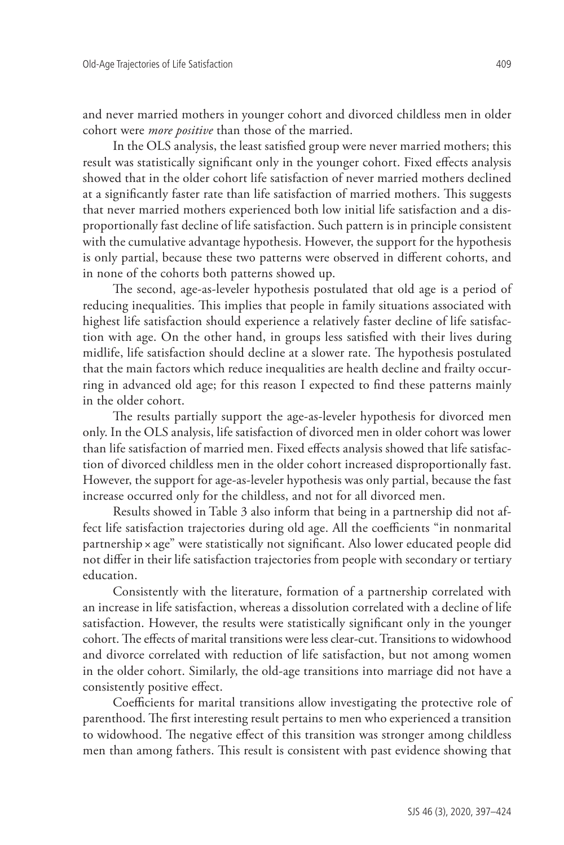and never married mothers in younger cohort and divorced childless men in older cohort were *more positive* than those of the married.

In the OLS analysis, the least satisfied group were never married mothers; this result was statistically significant only in the younger cohort. Fixed effects analysis showed that in the older cohort life satisfaction of never married mothers declined at a significantly faster rate than life satisfaction of married mothers. This suggests that never married mothers experienced both low initial life satisfaction and a disproportionally fast decline of life satisfaction. Such pattern is in principle consistent with the cumulative advantage hypothesis. However, the support for the hypothesis is only partial, because these two patterns were observed in different cohorts, and in none of the cohorts both patterns showed up.

The second, age-as-leveler hypothesis postulated that old age is a period of reducing inequalities. This implies that people in family situations associated with highest life satisfaction should experience a relatively faster decline of life satisfaction with age. On the other hand, in groups less satisfied with their lives during midlife, life satisfaction should decline at a slower rate. The hypothesis postulated that the main factors which reduce inequalities are health decline and frailty occurring in advanced old age; for this reason I expected to find these patterns mainly in the older cohort.

The results partially support the age-as-leveler hypothesis for divorced men only. In the OLS analysis, life satisfaction of divorced men in older cohort was lower than life satisfaction of married men. Fixed effects analysis showed that life satisfaction of divorced childless men in the older cohort increased disproportionally fast. However, the support for age-as-leveler hypothesis was only partial, because the fast increase occurred only for the childless, and not for all divorced men.

Results showed in Table 3 also inform that being in a partnership did not affect life satisfaction trajectories during old age. All the coefficients "in nonmarital partnership × age" were statistically not significant. Also lower educated people did not differ in their life satisfaction trajectories from people with secondary or tertiary education.

Consistently with the literature, formation of a partnership correlated with an increase in life satisfaction, whereas a dissolution correlated with a decline of life satisfaction. However, the results were statistically significant only in the younger cohort. The effects of marital transitions were less clear-cut. Transitions to widowhood and divorce correlated with reduction of life satisfaction, but not among women in the older cohort. Similarly, the old-age transitions into marriage did not have a consistently positive effect.

Coefficients for marital transitions allow investigating the protective role of parenthood. The first interesting result pertains to men who experienced a transition to widowhood. The negative effect of this transition was stronger among childless men than among fathers. This result is consistent with past evidence showing that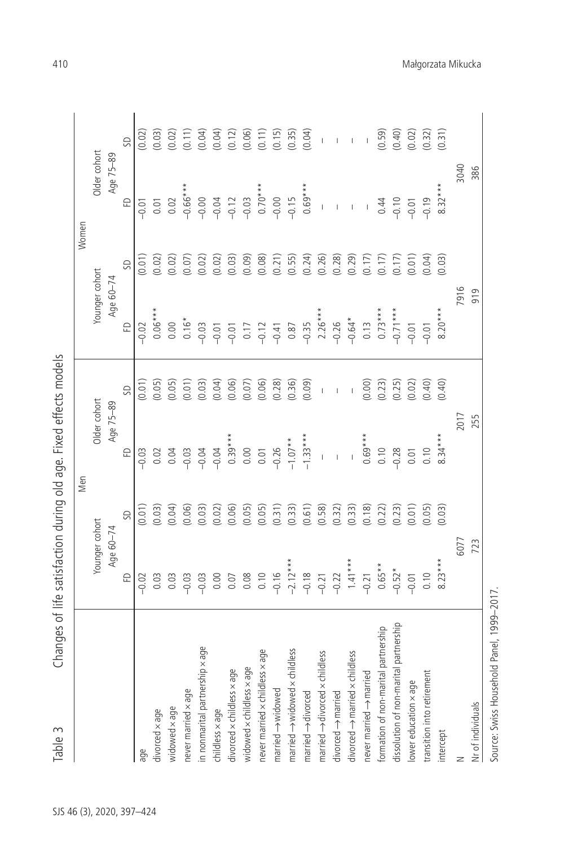| Older cohort<br>Age 75-89<br>2017                                                                                                                                                                                                                                                                                                                      |
|--------------------------------------------------------------------------------------------------------------------------------------------------------------------------------------------------------------------------------------------------------------------------------------------------------------------------------------------------------|
|                                                                                                                                                                                                                                                                                                                                                        |
| Changes of life satisfaction during old age. Fixed effects models<br>Younger cohort<br>Age 60-74<br>6077<br>723<br>$-2.12***$<br>$1.41***$<br>$8.23***$<br>$0.65**$<br>$-0.52*$<br>$-0.16$<br>$-0.18$<br>0.08<br>0.10<br>$\Omega$<br>$-0.22$<br>$-0.21$<br>0.10<br>0.00<br>$-0.21$<br>0.03<br>0.03<br>$-0.03$<br>$-0.03$<br>0.07<br>$-0.01$<br>$-0.02$ |

410 Małgorzata Mikucka

Source: Swiss Household Panel, 1999–2017.

Source: Swiss Household Panel, 1999-2017.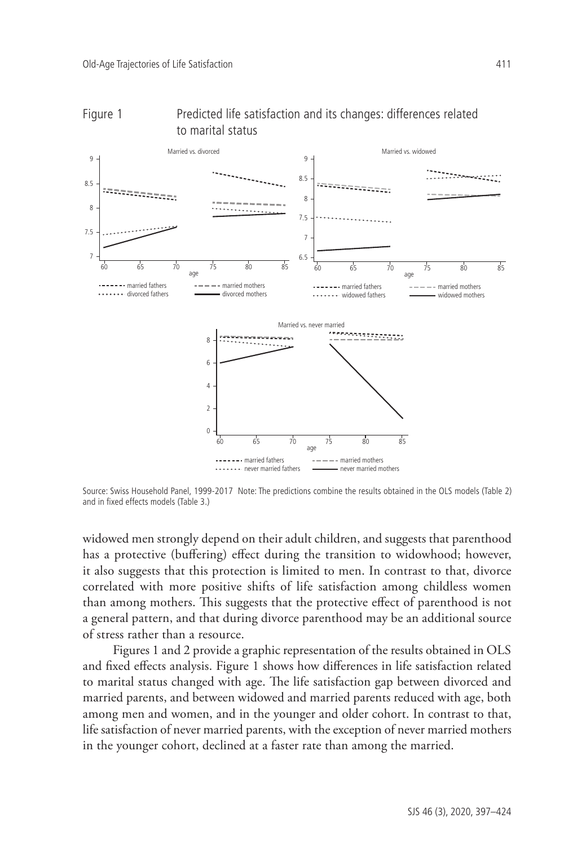



Source: Swiss Household Panel, 1999-2017 Note: The predictions combine the results obtained in the OLS models (Table 2) and in fixed effects models (Table 3.)

widowed men strongly depend on their adult children, and suggests that parenthood has a protective (buffering) effect during the transition to widowhood; however, it also suggests that this protection is limited to men. In contrast to that, divorce correlated with more positive shifts of life satisfaction among childless women than among mothers. This suggests that the protective effect of parenthood is not a general pattern, and that during divorce parenthood may be an additional source of stress rather than a resource.

Figures 1 and 2 provide a graphic representation of the results obtained in OLS and fixed effects analysis. Figure 1 shows how differences in life satisfaction related to marital status changed with age. The life satisfaction gap between divorced and married parents, and between widowed and married parents reduced with age, both among men and women, and in the younger and older cohort. In contrast to that, life satisfaction of never married parents, with the exception of never married mothers in the younger cohort, declined at a faster rate than among the married.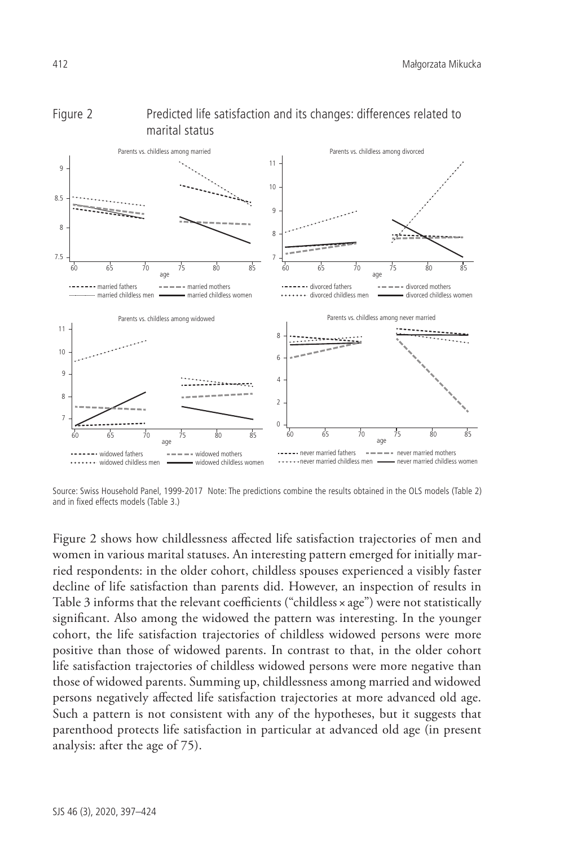

# Figure 2 Predicted life satisfaction and its changes: differences related to marital status

Source: Swiss Household Panel, 1999-2017 Note: The predictions combine the results obtained in the OLS models (Table 2) and in fixed effects models (Table 3.)

Figure 2 shows how childlessness affected life satisfaction trajectories of men and women in various marital statuses. An interesting pattern emerged for initially married respondents: in the older cohort, childless spouses experienced a visibly faster decline of life satisfaction than parents did. However, an inspection of results in Table 3 informs that the relevant coefficients ("childless × age") were not statistically significant. Also among the widowed the pattern was interesting. In the younger cohort, the life satisfaction trajectories of childless widowed persons were more positive than those of widowed parents. In contrast to that, in the older cohort life satisfaction trajectories of childless widowed persons were more negative than those of widowed parents. Summing up, childlessness among married and widowed persons negatively affected life satisfaction trajectories at more advanced old age. Such a pattern is not consistent with any of the hypotheses, but it suggests that parenthood protects life satisfaction in particular at advanced old age (in present analysis: after the age of 75).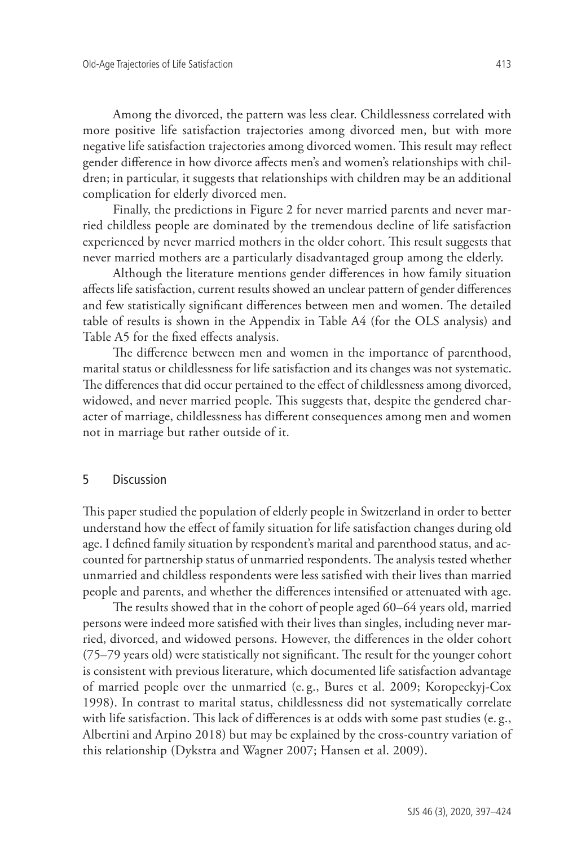Among the divorced, the pattern was less clear. Childlessness correlated with more positive life satisfaction trajectories among divorced men, but with more negative life satisfaction trajectories among divorced women. This result may reflect gender difference in how divorce affects men's and women's relationships with children; in particular, it suggests that relationships with children may be an additional complication for elderly divorced men.

Finally, the predictions in Figure 2 for never married parents and never married childless people are dominated by the tremendous decline of life satisfaction experienced by never married mothers in the older cohort. This result suggests that never married mothers are a particularly disadvantaged group among the elderly.

Although the literature mentions gender differences in how family situation affects life satisfaction, current results showed an unclear pattern of gender differences and few statistically significant differences between men and women. The detailed table of results is shown in the Appendix in Table A4 (for the OLS analysis) and Table A5 for the fixed effects analysis.

The difference between men and women in the importance of parenthood, marital status or childlessness for life satisfaction and its changes was not systematic. The differences that did occur pertained to the effect of childlessness among divorced, widowed, and never married people. This suggests that, despite the gendered character of marriage, childlessness has different consequences among men and women not in marriage but rather outside of it.

## 5 Discussion

This paper studied the population of elderly people in Switzerland in order to better understand how the effect of family situation for life satisfaction changes during old age. I defined family situation by respondent's marital and parenthood status, and accounted for partnership status of unmarried respondents. The analysis tested whether unmarried and childless respondents were less satisfied with their lives than married people and parents, and whether the differences intensified or attenuated with age.

The results showed that in the cohort of people aged 60–64 years old, married persons were indeed more satisfied with their lives than singles, including never married, divorced, and widowed persons. However, the differences in the older cohort (75–79 years old) were statistically not significant. The result for the younger cohort is consistent with previous literature, which documented life satisfaction advantage of married people over the unmarried (e. g., Bures et al. 2009; Koropeckyj-Cox 1998). In contrast to marital status, childlessness did not systematically correlate with life satisfaction. This lack of differences is at odds with some past studies (e. g., Albertini and Arpino 2018) but may be explained by the cross-country variation of this relationship (Dykstra and Wagner 2007; Hansen et al. 2009).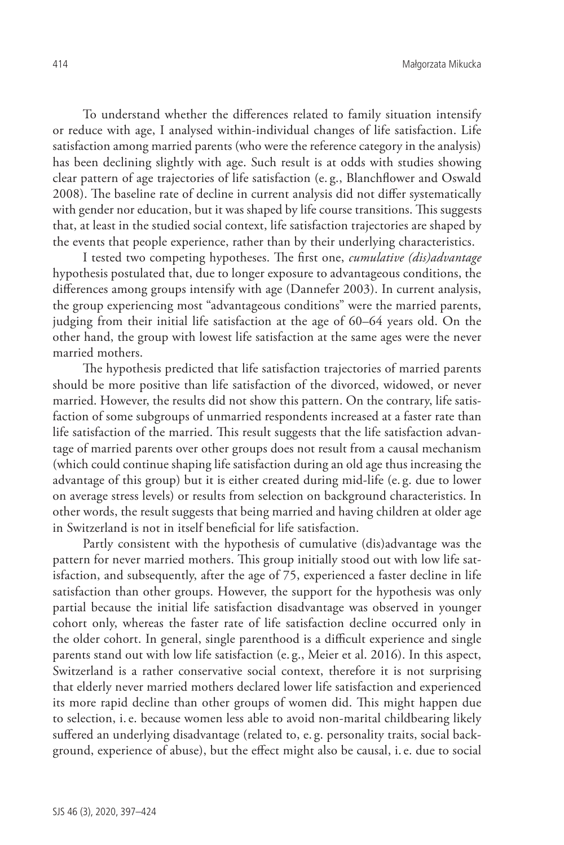To understand whether the differences related to family situation intensify or reduce with age, I analysed within-individual changes of life satisfaction. Life satisfaction among married parents (who were the reference category in the analysis) has been declining slightly with age. Such result is at odds with studies showing clear pattern of age trajectories of life satisfaction (e. g., Blanchflower and Oswald 2008). The baseline rate of decline in current analysis did not differ systematically with gender nor education, but it was shaped by life course transitions. This suggests that, at least in the studied social context, life satisfaction trajectories are shaped by the events that people experience, rather than by their underlying characteristics.

I tested two competing hypotheses. The first one, *cumulative (dis)advantage*  hypothesis postulated that, due to longer exposure to advantageous conditions, the differences among groups intensify with age (Dannefer 2003). In current analysis, the group experiencing most "advantageous conditions" were the married parents, judging from their initial life satisfaction at the age of 60–64 years old. On the other hand, the group with lowest life satisfaction at the same ages were the never married mothers.

The hypothesis predicted that life satisfaction trajectories of married parents should be more positive than life satisfaction of the divorced, widowed, or never married. However, the results did not show this pattern. On the contrary, life satisfaction of some subgroups of unmarried respondents increased at a faster rate than life satisfaction of the married. This result suggests that the life satisfaction advantage of married parents over other groups does not result from a causal mechanism (which could continue shaping life satisfaction during an old age thus increasing the advantage of this group) but it is either created during mid-life (e. g. due to lower on average stress levels) or results from selection on background characteristics. In other words, the result suggests that being married and having children at older age in Switzerland is not in itself beneficial for life satisfaction.

Partly consistent with the hypothesis of cumulative (dis)advantage was the pattern for never married mothers. This group initially stood out with low life satisfaction, and subsequently, after the age of 75, experienced a faster decline in life satisfaction than other groups. However, the support for the hypothesis was only partial because the initial life satisfaction disadvantage was observed in younger cohort only, whereas the faster rate of life satisfaction decline occurred only in the older cohort. In general, single parenthood is a difficult experience and single parents stand out with low life satisfaction (e. g., Meier et al. 2016). In this aspect, Switzerland is a rather conservative social context, therefore it is not surprising that elderly never married mothers declared lower life satisfaction and experienced its more rapid decline than other groups of women did. This might happen due to selection, i.e. because women less able to avoid non-marital childbearing likely suffered an underlying disadvantage (related to, e. g. personality traits, social background, experience of abuse), but the effect might also be causal, i.e. due to social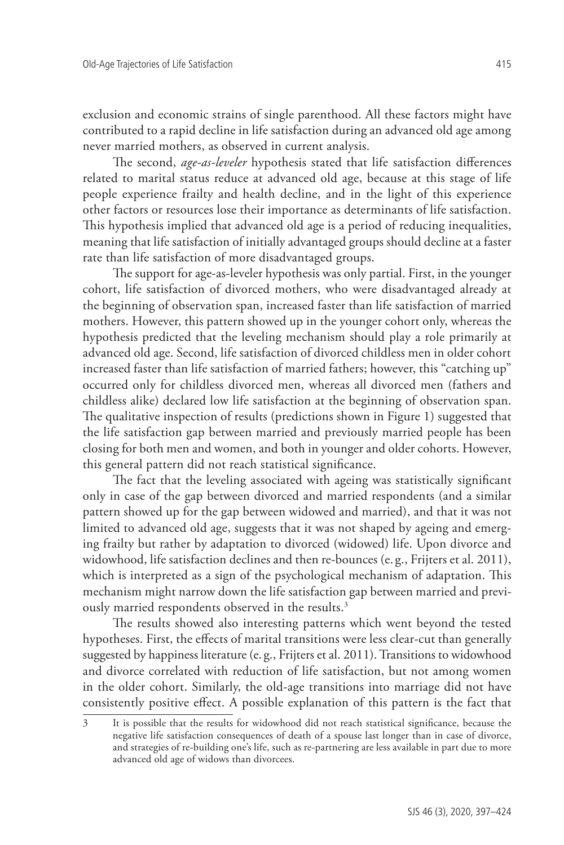exclusion and economic strains of single parenthood. All these factors might have contributed to a rapid decline in life satisfaction during an advanced old age among never married mothers, as observed in current analysis.

The second, *age-as-leveler* hypothesis stated that life satisfaction differences related to marital status reduce at advanced old age, because at this stage of life people experience frailty and health decline, and in the light of this experience other factors or resources lose their importance as determinants of life satisfaction. This hypothesis implied that advanced old age is a period of reducing inequalities, meaning that life satisfaction of initially advantaged groups should decline at a faster rate than life satisfaction of more disadvantaged groups.

The support for age-as-leveler hypothesis was only partial. First, in the younger cohort, life satisfaction of divorced mothers, who were disadvantaged already at the beginning of observation span, increased faster than life satisfaction of married mothers. However, this pattern showed up in the younger cohort only, whereas the hypothesis predicted that the leveling mechanism should play a role primarily at advanced old age. Second, life satisfaction of divorced childless men in older cohort increased faster than life satisfaction of married fathers; however, this "catching up" occurred only for childless divorced men, whereas all divorced men (fathers and childless alike) declared low life satisfaction at the beginning of observation span. The qualitative inspection of results (predictions shown in Figure 1) suggested that the life satisfaction gap between married and previously married people has been closing for both men and women, and both in younger and older cohorts. However, this general pattern did not reach statistical significance.

The fact that the leveling associated with ageing was statistically significant only in case of the gap between divorced and married respondents (and a similar pattern showed up for the gap between widowed and married), and that it was not limited to advanced old age, suggests that it was not shaped by ageing and emerging frailty but rather by adaptation to divorced (widowed) life. Upon divorce and widowhood, life satisfaction declines and then re-bounces (e. g., Frijters et al. 2011), which is interpreted as a sign of the psychological mechanism of adaptation. This mechanism might narrow down the life satisfaction gap between married and previously married respondents observed in the results.<sup>3</sup>

The results showed also interesting patterns which went beyond the tested hypotheses. First, the effects of marital transitions were less clear-cut than generally suggested by happiness literature (e. g., Frijters et al. 2011). Transitions to widowhood and divorce correlated with reduction of life satisfaction, but not among women in the older cohort. Similarly, the old-age transitions into marriage did not have consistently positive effect. A possible explanation of this pattern is the fact that

<sup>3</sup> It is possible that the results for widowhood did not reach statistical significance, because the negative life satisfaction consequences of death of a spouse last longer than in case of divorce, and strategies of re-building one's life, such as re-partnering are less available in part due to more advanced old age of widows than divorcees.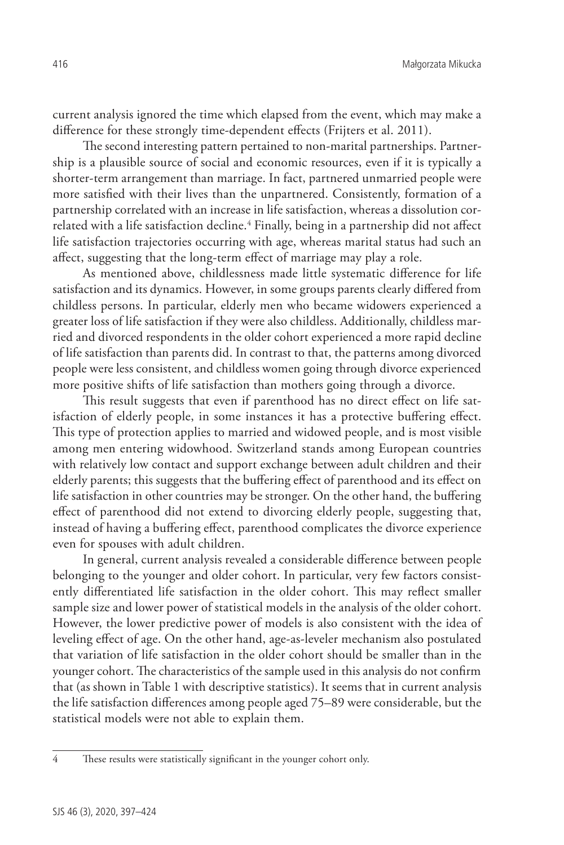current analysis ignored the time which elapsed from the event, which may make a difference for these strongly time-dependent effects (Frijters et al. 2011).

The second interesting pattern pertained to non-marital partnerships. Partnership is a plausible source of social and economic resources, even if it is typically a shorter-term arrangement than marriage. In fact, partnered unmarried people were more satisfied with their lives than the unpartnered. Consistently, formation of a partnership correlated with an increase in life satisfaction, whereas a dissolution correlated with a life satisfaction decline.<sup>4</sup> Finally, being in a partnership did not affect life satisfaction trajectories occurring with age, whereas marital status had such an affect, suggesting that the long-term effect of marriage may play a role.

As mentioned above, childlessness made little systematic difference for life satisfaction and its dynamics. However, in some groups parents clearly differed from childless persons. In particular, elderly men who became widowers experienced a greater loss of life satisfaction if they were also childless. Additionally, childless married and divorced respondents in the older cohort experienced a more rapid decline of life satisfaction than parents did. In contrast to that, the patterns among divorced people were less consistent, and childless women going through divorce experienced more positive shifts of life satisfaction than mothers going through a divorce.

This result suggests that even if parenthood has no direct effect on life satisfaction of elderly people, in some instances it has a protective buffering effect. This type of protection applies to married and widowed people, and is most visible among men entering widowhood. Switzerland stands among European countries with relatively low contact and support exchange between adult children and their elderly parents; this suggests that the buffering effect of parenthood and its effect on life satisfaction in other countries may be stronger. On the other hand, the buffering effect of parenthood did not extend to divorcing elderly people, suggesting that, instead of having a buffering effect, parenthood complicates the divorce experience even for spouses with adult children.

In general, current analysis revealed a considerable difference between people belonging to the younger and older cohort. In particular, very few factors consistently differentiated life satisfaction in the older cohort. This may reflect smaller sample size and lower power of statistical models in the analysis of the older cohort. However, the lower predictive power of models is also consistent with the idea of leveling effect of age. On the other hand, age-as-leveler mechanism also postulated that variation of life satisfaction in the older cohort should be smaller than in the younger cohort. The characteristics of the sample used in this analysis do not confirm that (as shown in Table 1 with descriptive statistics). It seems that in current analysis the life satisfaction differences among people aged 75–89 were considerable, but the statistical models were not able to explain them.

<sup>4</sup> These results were statistically significant in the younger cohort only.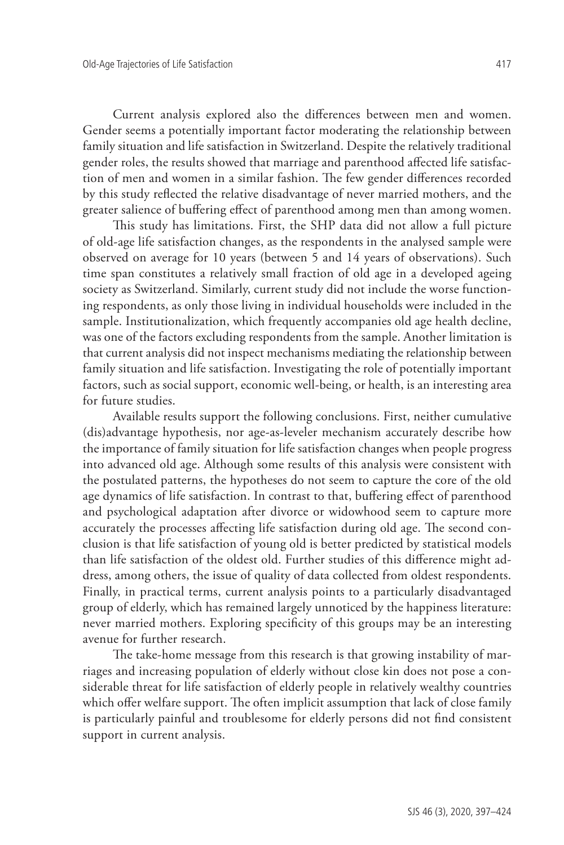Current analysis explored also the differences between men and women. Gender seems a potentially important factor moderating the relationship between family situation and life satisfaction in Switzerland. Despite the relatively traditional gender roles, the results showed that marriage and parenthood affected life satisfaction of men and women in a similar fashion. The few gender differences recorded by this study reflected the relative disadvantage of never married mothers, and the greater salience of buffering effect of parenthood among men than among women.

This study has limitations. First, the SHP data did not allow a full picture of old-age life satisfaction changes, as the respondents in the analysed sample were observed on average for 10 years (between 5 and 14 years of observations). Such time span constitutes a relatively small fraction of old age in a developed ageing society as Switzerland. Similarly, current study did not include the worse functioning respondents, as only those living in individual households were included in the sample. Institutionalization, which frequently accompanies old age health decline, was one of the factors excluding respondents from the sample. Another limitation is that current analysis did not inspect mechanisms mediating the relationship between family situation and life satisfaction. Investigating the role of potentially important factors, such as social support, economic well-being, or health, is an interesting area for future studies.

Available results support the following conclusions. First, neither cumulative (dis)advantage hypothesis, nor age-as-leveler mechanism accurately describe how the importance of family situation for life satisfaction changes when people progress into advanced old age. Although some results of this analysis were consistent with the postulated patterns, the hypotheses do not seem to capture the core of the old age dynamics of life satisfaction. In contrast to that, buffering effect of parenthood and psychological adaptation after divorce or widowhood seem to capture more accurately the processes affecting life satisfaction during old age. The second conclusion is that life satisfaction of young old is better predicted by statistical models than life satisfaction of the oldest old. Further studies of this difference might address, among others, the issue of quality of data collected from oldest respondents. Finally, in practical terms, current analysis points to a particularly disadvantaged group of elderly, which has remained largely unnoticed by the happiness literature: never married mothers. Exploring specificity of this groups may be an interesting avenue for further research.

The take-home message from this research is that growing instability of marriages and increasing population of elderly without close kin does not pose a considerable threat for life satisfaction of elderly people in relatively wealthy countries which offer welfare support. The often implicit assumption that lack of close family is particularly painful and troublesome for elderly persons did not find consistent support in current analysis.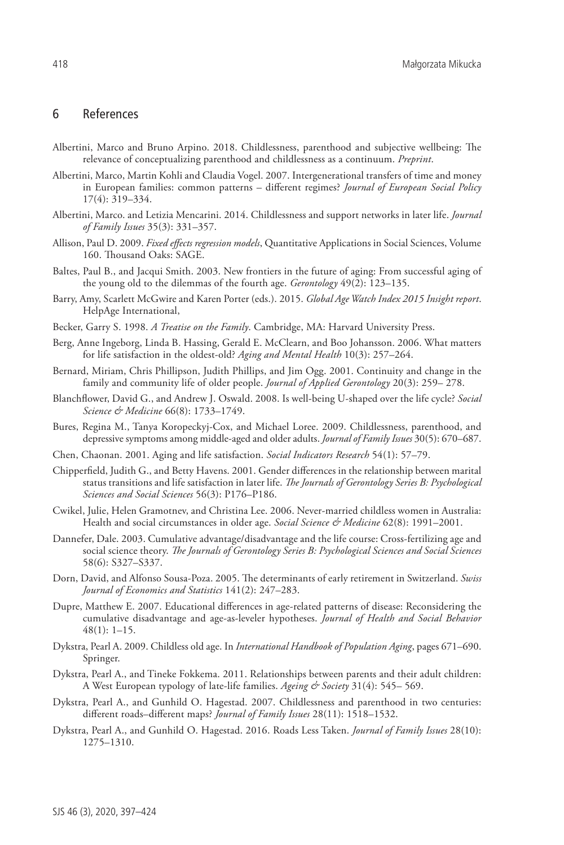## 6 References

- Albertini, Marco and Bruno Arpino. 2018. Childlessness, parenthood and subjective wellbeing: The relevance of conceptualizing parenthood and childlessness as a continuum. *Preprint*.
- Albertini, Marco, Martin Kohli and Claudia Vogel. 2007. Intergenerational transfers of time and money in European families: common patterns – different regimes? *Journal of European Social Policy* 17(4): 319–334.
- Albertini, Marco. and Letizia Mencarini. 2014. Childlessness and support networks in later life. *Journal of Family Issues* 35(3): 331–357.
- Allison, Paul D. 2009. *Fixed effects regression models*, Quantitative Applications in Social Sciences, Volume 160. Thousand Oaks: SAGE.
- Baltes, Paul B., and Jacqui Smith. 2003. New frontiers in the future of aging: From successful aging of the young old to the dilemmas of the fourth age. *Gerontology* 49(2): 123–135.
- Barry, Amy, Scarlett McGwire and Karen Porter (eds.). 2015. *Global Age Watch Index 2015 Insight report*. HelpAge International,
- Becker, Garry S. 1998. *A Treatise on the Family*. Cambridge, MA: Harvard University Press.
- Berg, Anne Ingeborg, Linda B. Hassing, Gerald E. McClearn, and Boo Johansson. 2006. What matters for life satisfaction in the oldest-old? *Aging and Mental Health* 10(3): 257–264.
- Bernard, Miriam, Chris Phillipson, Judith Phillips, and Jim Ogg. 2001. Continuity and change in the family and community life of older people. *Journal of Applied Gerontology* 20(3): 259– 278.
- Blanchflower, David G., and Andrew J. Oswald. 2008. Is well-being U-shaped over the life cycle? *Social Science & Medicine* 66(8): 1733–1749.
- Bures, Regina M., Tanya Koropeckyj-Cox, and Michael Loree. 2009. Childlessness, parenthood, and depressive symptoms among middle-aged and older adults. *Journal of Family Issues* 30(5): 670–687.
- Chen, Chaonan. 2001. Aging and life satisfaction. *Social Indicators Research* 54(1): 57–79.
- Chipperfield, Judith G., and Betty Havens. 2001. Gender differences in the relationship between marital status transitions and life satisfaction in later life. *The Journals of Gerontology Series B: Psychological Sciences and Social Sciences* 56(3): P176–P186.
- Cwikel, Julie, Helen Gramotnev, and Christina Lee. 2006. Never-married childless women in Australia: Health and social circumstances in older age. *Social Science & Medicine* 62(8): 1991–2001.
- Dannefer, Dale. 2003. Cumulative advantage/disadvantage and the life course: Cross-fertilizing age and social science theory. *The Journals of Gerontology Series B: Psychological Sciences and Social Sciences* 58(6): S327–S337.
- Dorn, David, and Alfonso Sousa-Poza. 2005. The determinants of early retirement in Switzerland. *Swiss Journal of Economics and Statistics* 141(2): 247–283.
- Dupre, Matthew E. 2007. Educational differences in age-related patterns of disease: Reconsidering the cumulative disadvantage and age-as-leveler hypotheses. *Journal of Health and Social Behavior* 48(1): 1–15.
- Dykstra, Pearl A. 2009. Childless old age. In *International Handbook of Population Aging*, pages 671–690. Springer.
- Dykstra, Pearl A., and Tineke Fokkema. 2011. Relationships between parents and their adult children: A West European typology of late-life families. *Ageing & Society* 31(4): 545– 569.
- Dykstra, Pearl A., and Gunhild O. Hagestad. 2007. Childlessness and parenthood in two centuries: different roads–different maps? *Journal of Family Issues* 28(11): 1518–1532.
- Dykstra, Pearl A., and Gunhild O. Hagestad. 2016. Roads Less Taken. *Journal of Family Issues* 28(10): 1275–1310.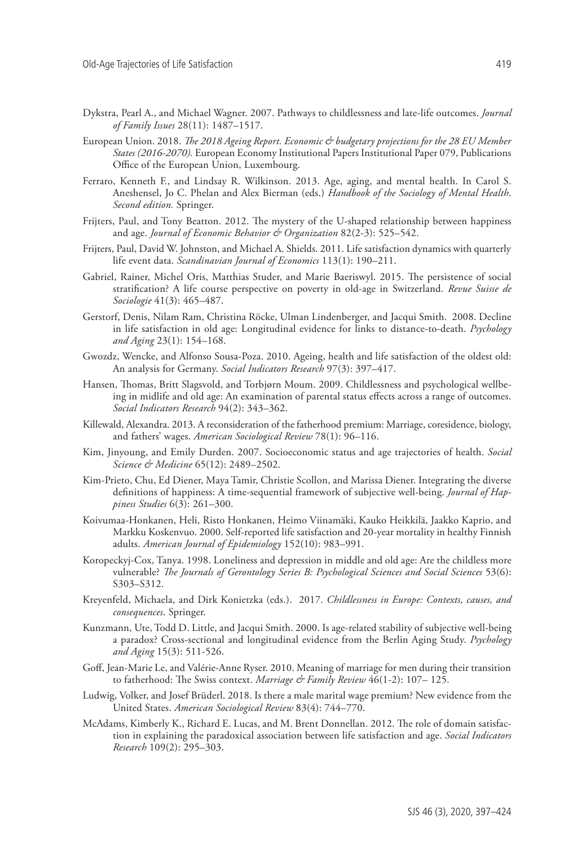- Dykstra, Pearl A., and Michael Wagner. 2007. Pathways to childlessness and late-life outcomes. *Journal of Family Issues* 28(11): 1487–1517.
- European Union. 2018. *The 2018 Ageing Report. Economic & budgetary projections for the 28 EU Member States (2016-2070).* European Economy Institutional Papers Institutional Paper 079, Publications Office of the European Union, Luxembourg.
- Ferraro, Kenneth F., and Lindsay R. Wilkinson. 2013. Age, aging, and mental health. In Carol S. Aneshensel, Jo C. Phelan and Alex Bierman (eds.) *Handbook of the Sociology of Mental Health*. *Second edition.* Springer.
- Frijters, Paul, and Tony Beatton. 2012. The mystery of the U-shaped relationship between happiness and age. *Journal of Economic Behavior & Organization* 82(2-3): 525–542.
- Frijters, Paul, David W. Johnston, and Michael A. Shields. 2011. Life satisfaction dynamics with quarterly life event data. *Scandinavian Journal of Economics* 113(1): 190–211.
- Gabriel, Rainer, Michel Oris, Matthias Studer, and Marie Baeriswyl. 2015. The persistence of social stratification? A life course perspective on poverty in old-age in Switzerland. *Revue Suisse de Sociologie* 41(3): 465–487.
- Gerstorf, Denis, Nilam Ram, Christina Röcke, Ulman Lindenberger, and Jacqui Smith. 2008. Decline in life satisfaction in old age: Longitudinal evidence for links to distance-to-death. *Psychology and Aging* 23(1): 154–168.
- Gwozdz, Wencke, and Alfonso Sousa-Poza. 2010. Ageing, health and life satisfaction of the oldest old: An analysis for Germany. *Social Indicators Research* 97(3): 397–417.
- Hansen, Thomas, Britt Slagsvold, and Torbjørn Moum. 2009. Childlessness and psychological wellbeing in midlife and old age: An examination of parental status effects across a range of outcomes. *Social Indicators Research* 94(2): 343–362.
- Killewald, Alexandra. 2013. A reconsideration of the fatherhood premium: Marriage, coresidence, biology, and fathers' wages. *American Sociological Review* 78(1): 96–116.
- Kim, Jinyoung, and Emily Durden. 2007. Socioeconomic status and age trajectories of health. *Social Science & Medicine* 65(12): 2489–2502.
- Kim-Prieto, Chu, Ed Diener, Maya Tamir, Christie Scollon, and Marissa Diener. Integrating the diverse definitions of happiness: A time-sequential framework of subjective well-being. *Journal of Happiness Studies* 6(3): 261–300.
- Koivumaa-Honkanen, Heli, Risto Honkanen, Heimo Viinamäki, Kauko Heikkilä, Jaakko Kaprio, and Markku Koskenvuo. 2000. Self-reported life satisfaction and 20-year mortality in healthy Finnish adults. *American Journal of Epidemiology* 152(10): 983–991.
- Koropeckyj-Cox, Tanya. 1998. Loneliness and depression in middle and old age: Are the childless more vulnerable? *The Journals of Gerontology Series B: Psychological Sciences and Social Sciences* 53(6): S303–S312.
- Kreyenfeld, Michaela, and Dirk Konietzka (eds.). 2017. *Childlessness in Europe: Contexts, causes, and consequences*. Springer.
- Kunzmann, Ute, Todd D. Little, and Jacqui Smith. 2000. Is age-related stability of subjective well-being a paradox? Cross-sectional and longitudinal evidence from the Berlin Aging Study. *Psychology and Aging* 15(3): 511-526.
- Goff, Jean-Marie Le, and Valérie-Anne Ryser. 2010. Meaning of marriage for men during their transition to fatherhood: The Swiss context. *Marriage & Family Review* 46(1-2): 107– 125.
- Ludwig, Volker, and Josef Brüderl. 2018. Is there a male marital wage premium? New evidence from the United States. *American Sociological Review* 83(4): 744–770.
- McAdams, Kimberly K., Richard E. Lucas, and M. Brent Donnellan. 2012. The role of domain satisfaction in explaining the paradoxical association between life satisfaction and age. *Social Indicators Research* 109(2): 295–303.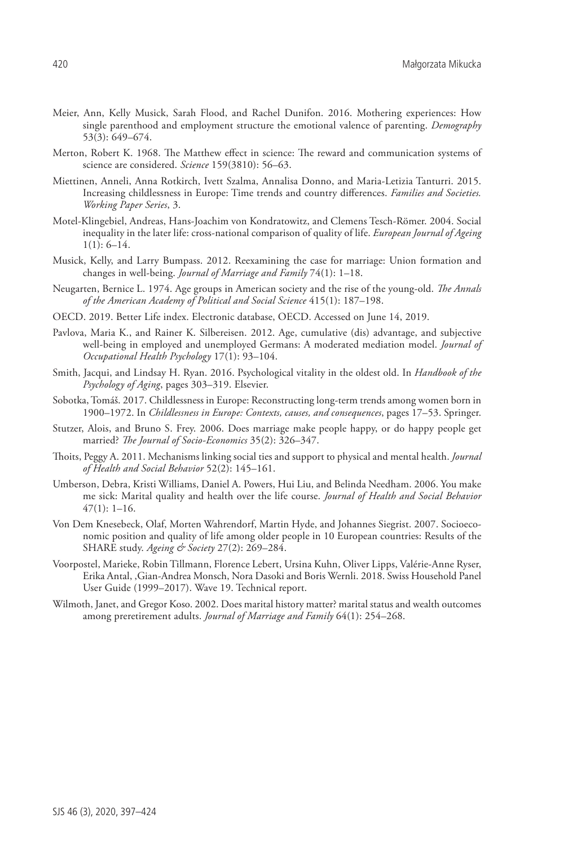- Meier, Ann, Kelly Musick, Sarah Flood, and Rachel Dunifon. 2016. Mothering experiences: How single parenthood and employment structure the emotional valence of parenting. *Demography* 53(3): 649–674.
- Merton, Robert K. 1968. The Matthew effect in science: The reward and communication systems of science are considered. *Science* 159(3810): 56–63.
- Miettinen, Anneli, Anna Rotkirch, Ivett Szalma, Annalisa Donno, and Maria-Letizia Tanturri. 2015. Increasing childlessness in Europe: Time trends and country differences. *Families and Societies. Working Paper Series*, 3.
- Motel-Klingebiel, Andreas, Hans-Joachim von Kondratowitz, and Clemens Tesch-Römer. 2004. Social inequality in the later life: cross-national comparison of quality of life. *European Journal of Ageing*  $1(1): 6-14.$
- Musick, Kelly, and Larry Bumpass. 2012. Reexamining the case for marriage: Union formation and changes in well-being. *Journal of Marriage and Family* 74(1): 1–18.
- Neugarten, Bernice L. 1974. Age groups in American society and the rise of the young-old. *The Annals of the American Academy of Political and Social Science* 415(1): 187–198.
- OECD. 2019. Better Life index. Electronic database, OECD. Accessed on June 14, 2019.
- Pavlova, Maria K., and Rainer K. Silbereisen. 2012. Age, cumulative (dis) advantage, and subjective well-being in employed and unemployed Germans: A moderated mediation model. *Journal of Occupational Health Psychology* 17(1): 93–104.
- Smith, Jacqui, and Lindsay H. Ryan. 2016. Psychological vitality in the oldest old. In *Handbook of the Psychology of Aging*, pages 303–319. Elsevier.
- Sobotka, Tomáš. 2017. Childlessness in Europe: Reconstructing long-term trends among women born in 1900–1972. In *Childlessness in Europe: Contexts, causes, and consequences*, pages 17–53. Springer.
- Stutzer, Alois, and Bruno S. Frey. 2006. Does marriage make people happy, or do happy people get married? *The Journal of Socio-Economics* 35(2): 326–347.
- Thoits, Peggy A. 2011. Mechanisms linking social ties and support to physical and mental health. *Journal of Health and Social Behavior* 52(2): 145–161.
- Umberson, Debra, Kristi Williams, Daniel A. Powers, Hui Liu, and Belinda Needham. 2006. You make me sick: Marital quality and health over the life course. *Journal of Health and Social Behavior* 47(1): 1–16.
- Von Dem Knesebeck, Olaf, Morten Wahrendorf, Martin Hyde, and Johannes Siegrist. 2007. Socioeconomic position and quality of life among older people in 10 European countries: Results of the SHARE study. *Ageing & Society* 27(2): 269–284.
- Voorpostel, Marieke, Robin Tillmann, Florence Lebert, Ursina Kuhn, Oliver Lipps, Valérie-Anne Ryser, Erika Antal, ,Gian-Andrea Monsch, Nora Dasoki and Boris Wernli. 2018. Swiss Household Panel User Guide (1999–2017). Wave 19. Technical report.
- Wilmoth, Janet, and Gregor Koso. 2002. Does marital history matter? marital status and wealth outcomes among preretirement adults. *Journal of Marriage and Family* 64(1): 254–268.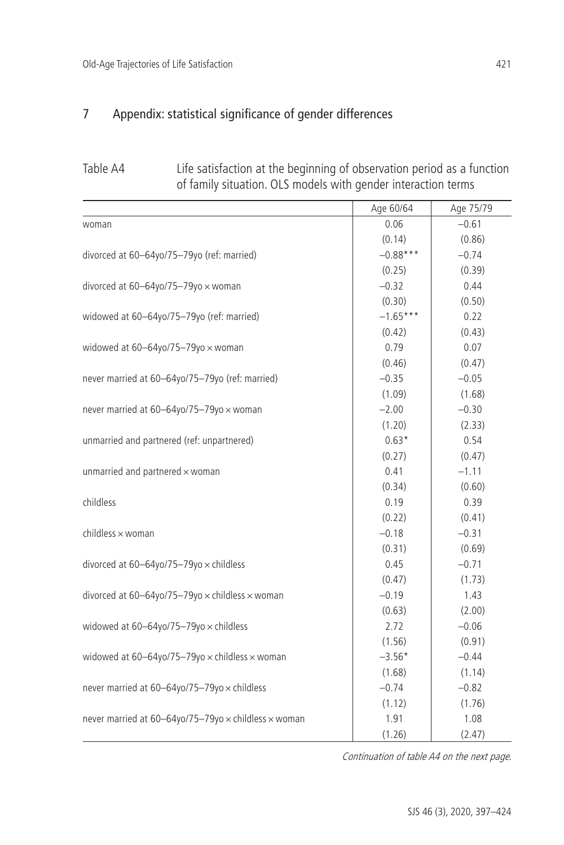# 7 Appendix: statistical significance of gender differences

| Table A4 | Life satisfaction at the beginning of observation period as a function |
|----------|------------------------------------------------------------------------|
|          | of family situation. OLS models with gender interaction terms          |

|                                                                 | Age 60/64  | Age 75/79 |
|-----------------------------------------------------------------|------------|-----------|
| woman                                                           | 0.06       | $-0.61$   |
|                                                                 | (0.14)     | (0.86)    |
| divorced at 60-64yo/75-79yo (ref: married)                      | $-0.88***$ | $-0.74$   |
|                                                                 | (0.25)     | (0.39)    |
| divorced at $60-64$ yo/75-79yo $\times$ woman                   | $-0.32$    | 0.44      |
|                                                                 | (0.30)     | (0.50)    |
| widowed at 60-64yo/75-79yo (ref: married)                       | $-1.65***$ | 0.22      |
|                                                                 | (0.42)     | (0.43)    |
| widowed at $60-64$ yo/75-79yo $\times$ woman                    | 0.79       | 0.07      |
|                                                                 | (0.46)     | (0.47)    |
| never married at 60-64yo/75-79yo (ref: married)                 | $-0.35$    | $-0.05$   |
|                                                                 | (1.09)     | (1.68)    |
| never married at 60-64yo/75-79yo x woman                        | $-2.00$    | $-0.30$   |
|                                                                 | (1.20)     | (2.33)    |
| unmarried and partnered (ref: unpartnered)                      | $0.63*$    | 0.54      |
|                                                                 | (0.27)     | (0.47)    |
| unmarried and partnered $\times$ woman                          | 0.41       | $-1.11$   |
|                                                                 | (0.34)     | (0.60)    |
| childless                                                       | 0.19       | 0.39      |
|                                                                 | (0.22)     | (0.41)    |
| children × woman                                                | $-0.18$    | $-0.31$   |
|                                                                 | (0.31)     | (0.69)    |
| divorced at $60-64$ yo/75-79yo $\times$ childless               | 0.45       | $-0.71$   |
|                                                                 | (0.47)     | (1.73)    |
| divorced at 60-64yo/75-79yo x childless x woman                 | $-0.19$    | 1.43      |
|                                                                 | (0.63)     | (2.00)    |
| widowed at $60-64$ yo/75-79yo $\times$ childless                | 2.72       | $-0.06$   |
|                                                                 | (1.56)     | (0.91)    |
| widowed at $60-64$ yo/75-79yo $\times$ childless $\times$ woman | $-3.56*$   | $-0.44$   |
|                                                                 | (1.68)     | (1.14)    |
| never married at 60-64yo/75-79yo x childless                    | $-0.74$    | $-0.82$   |
|                                                                 | (1.12)     | (1.76)    |
| never married at 60-64yo/75-79yo x childless x woman            | 1.91       | 1.08      |
|                                                                 | (1.26)     | (2.47)    |

Continuation of table A4 on the next page.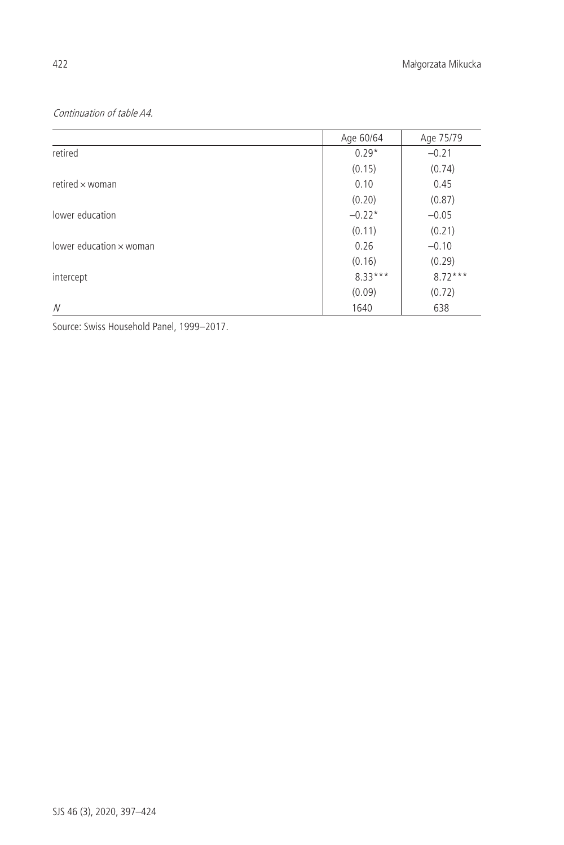# Continuation of table A4.

|                                | Age 60/64 | Age 75/79 |
|--------------------------------|-----------|-----------|
| retired                        | $0.29*$   | $-0.21$   |
|                                | (0.15)    | (0.74)    |
| retired $\times$ woman         | 0.10      | 0.45      |
|                                | (0.20)    | (0.87)    |
| lower education                | $-0.22*$  | $-0.05$   |
|                                | (0.11)    | (0.21)    |
| lower education $\times$ woman | 0.26      | $-0.10$   |
|                                | (0.16)    | (0.29)    |
| intercept                      | $8.33***$ | $8.72***$ |
|                                | (0.09)    | (0.72)    |
| N                              | 1640      | 638       |

Source: Swiss Household Panel, 1999–2017.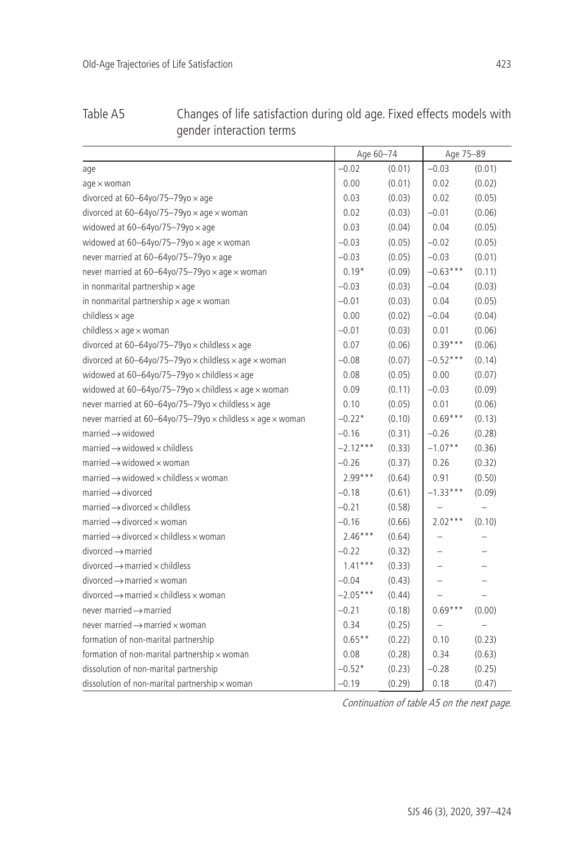| Table A5 | Changes of life satisfaction during old age. Fixed effects models with |
|----------|------------------------------------------------------------------------|
|          | gender interaction terms                                               |

|                                                                                 | Age 60-74  |        | Age 75-89  |        |
|---------------------------------------------------------------------------------|------------|--------|------------|--------|
| age                                                                             | $-0.02$    | (0.01) | $-0.03$    | (0.01) |
| $age \times woman$                                                              | 0.00       | (0.01) | 0.02       | (0.02) |
| divorced at $60-64$ yo/75-79yo $\times$ age                                     | 0.03       | (0.03) | 0.02       | (0.05) |
| divorced at 60-64yo/75-79yo $\times$ age $\times$ woman                         | 0.02       | (0.03) | $-0.01$    | (0.06) |
| widowed at $60 - 64$ yo/75-79yo $\times$ age                                    | 0.03       | (0.04) | 0.04       | (0.05) |
| widowed at $60-64$ yo/75-79yo $\times$ age $\times$ woman                       | $-0.03$    | (0.05) | $-0.02$    | (0.05) |
| never married at 60-64yo/75-79yo x age                                          | $-0.03$    | (0.05) | $-0.03$    | (0.01) |
| never married at 60-64yo/75-79yo x age x woman                                  | $0.19*$    | (0.09) | $-0.63***$ | (0.11) |
| in nonmarital partnership $\times$ age                                          | $-0.03$    | (0.03) | $-0.04$    | (0.03) |
| in nonmarital partnership $\times$ age $\times$ woman                           | $-0.01$    | (0.03) | 0.04       | (0.05) |
| childless $\times$ age                                                          | 0.00       | (0.02) | $-0.04$    | (0.04) |
| childless $\times$ age $\times$ woman                                           | $-0.01$    | (0.03) | 0.01       | (0.06) |
| divorced at 60-64yo/75-79yo $\times$ childless $\times$ age                     | 0.07       | (0.06) | $0.39***$  | (0.06) |
| divorced at 60-64yo/75-79yo x childless x age x woman                           | $-0.08$    | (0.07) | $-0.52***$ | (0.14) |
| widowed at 60-64yo/75-79yo $\times$ childless $\times$ age                      | 0.08       | (0.05) | 0.00       | (0.07) |
| widowed at 60-64yo/75-79yo $\times$ childless $\times$ age $\times$ woman       | 0.09       | (0.11) | $-0.03$    | (0.09) |
| never married at 60-64yo/75-79yo x childless x age                              | 0.10       | (0.05) | 0.01       | (0.06) |
| never married at 60-64yo/75-79yo $\times$ childless $\times$ age $\times$ woman | $-0.22*$   | (0.10) | $0.69***$  | (0.13) |
| $married \rightarrow$ widowed                                                   | $-0.16$    | (0.31) | $-0.26$    | (0.28) |
| married $\rightarrow$ widowed $\times$ childless                                | $-2.12***$ | (0.33) | $-1.07**$  | (0.36) |
| married $\rightarrow$ widowed $\times$ woman                                    | $-0.26$    | (0.37) | 0.26       | (0.32) |
| married $\rightarrow$ widowed $\times$ childless $\times$ woman                 | $2.99***$  | (0.64) | 0.91       | (0.50) |
| $married \rightarrow divorced$                                                  | $-0.18$    | (0.61) | $-1.33***$ | (0.09) |
| married $\rightarrow$ divorced $\times$ childless                               | $-0.21$    | (0.58) |            |        |
| married $\rightarrow$ divorced $\times$ woman                                   | $-0.16$    | (0.66) | $2.02***$  | (0.10) |
| married $\rightarrow$ divorced $\times$ childless $\times$ woman                | $2.46***$  | (0.64) |            |        |
| $divorced \rightarrow married$                                                  | $-0.22$    | (0.32) |            |        |
| $divored \rightarrow married \times childless$                                  | $1.41***$  | (0.33) |            |        |
| $divorced \rightarrow married \times woman$                                     | $-0.04$    | (0.43) |            |        |
| divorced $\rightarrow$ married $\times$ childless $\times$ woman                | $-2.05***$ | (0.44) |            |        |
| never married $\rightarrow$ married                                             | $-0.21$    | (0.18) | $0.69***$  | (0.00) |
| never married $\rightarrow$ married $\times$ woman                              | 0.34       | (0.25) |            |        |
| formation of non-marital partnership                                            | $0.65**$   | (0.22) | 0.10       | (0.23) |
| formation of non-marital partnership x woman                                    | 0.08       | (0.28) | 0.34       | (0.63) |
| dissolution of non-marital partnership                                          | $-0.52*$   | (0.23) | $-0.28$    | (0.25) |
| dissolution of non-marital partnership x woman                                  | $-0.19$    | (0.29) | 0.18       | (0.47) |

Continuation of table A5 on the next page.